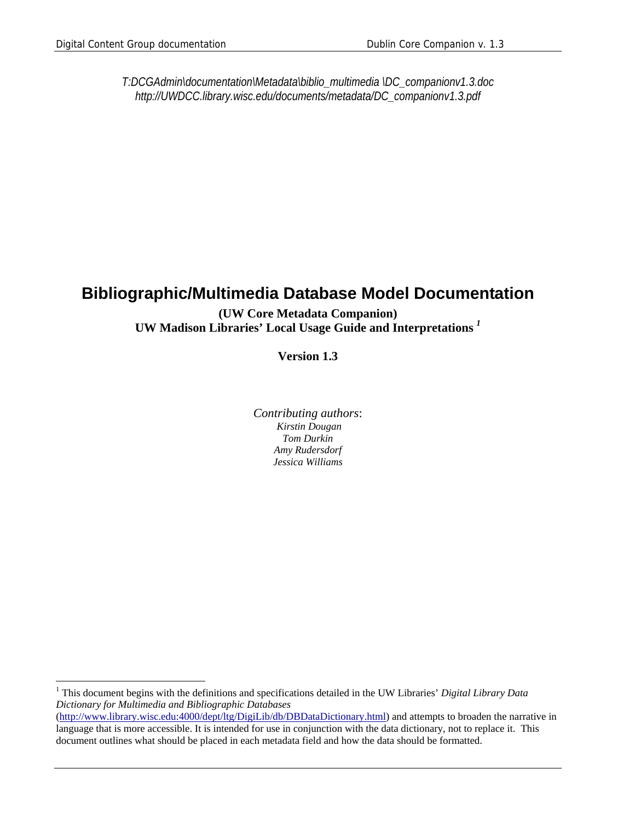$\overline{a}$ 

*T:DCGAdmin\documentation\Metadata\biblio\_multimedia \DC\_companionv1.3.doc http://UWDCC.library.wisc.edu/documents/metadata/DC\_companionv1.3.pdf* 

### **Bibliographic/Multimedia Database Model Documentation**

#### **(UW Core Metadata Companion) UW Madison Libraries' Local Usage Guide and Interpretations** *<sup>1</sup>*

**Version 1.3**

*Contributing authors*:  *Kirstin Dougan Tom Durkin Amy Rudersdorf Jessica Williams*

1 This document begins with the definitions and specifications detailed in the UW Libraries' *Digital Library Data Dictionary for Multimedia and Bibliographic Databases*

<sup>(</sup>http://www.library.wisc.edu:4000/dept/ltg/DigiLib/db/DBDataDictionary.html) and attempts to broaden the narrative in language that is more accessible. It is intended for use in conjunction with the data dictionary, not to replace it. This document outlines what should be placed in each metadata field and how the data should be formatted.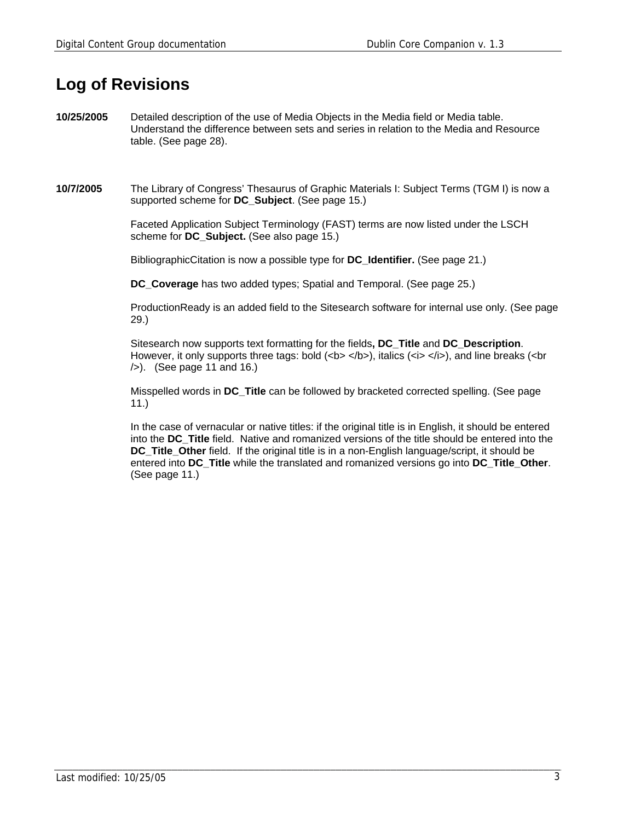## **Log of Revisions**

**10/25/2005** Detailed description of the use of Media Objects in the Media field or Media table. Understand the difference between sets and series in relation to the Media and Resource table. (See page 28).

**10/7/2005** The Library of Congress' Thesaurus of Graphic Materials I: Subject Terms (TGM I) is now a supported scheme for **DC\_Subject**. (See page 15.)

> Faceted Application Subject Terminology (FAST) terms are now listed under the LSCH scheme for **DC\_Subject.** (See also page 15.)

BibliographicCitation is now a possible type for **DC\_Identifier.** (See page 21.)

**DC\_Coverage** has two added types; Spatial and Temporal. (See page 25.)

 ProductionReady is an added field to the Sitesearch software for internal use only. (See page 29.)

 Sitesearch now supports text formatting for the fields**, DC\_Title** and **DC\_Description**. However, it only supports three tags: bold (<b> </b>), italics (<i> </i>>, and line breaks (<br />br />). (See page 11 and 16.)

 Misspelled words in **DC\_Title** can be followed by bracketed corrected spelling. (See page 11.)

 In the case of vernacular or native titles: if the original title is in English, it should be entered into the **DC\_Title** field. Native and romanized versions of the title should be entered into the **DC\_Title\_Other** field. If the original title is in a non-English language/script, it should be entered into **DC\_Title** while the translated and romanized versions go into **DC\_Title\_Other**. (See page 11.)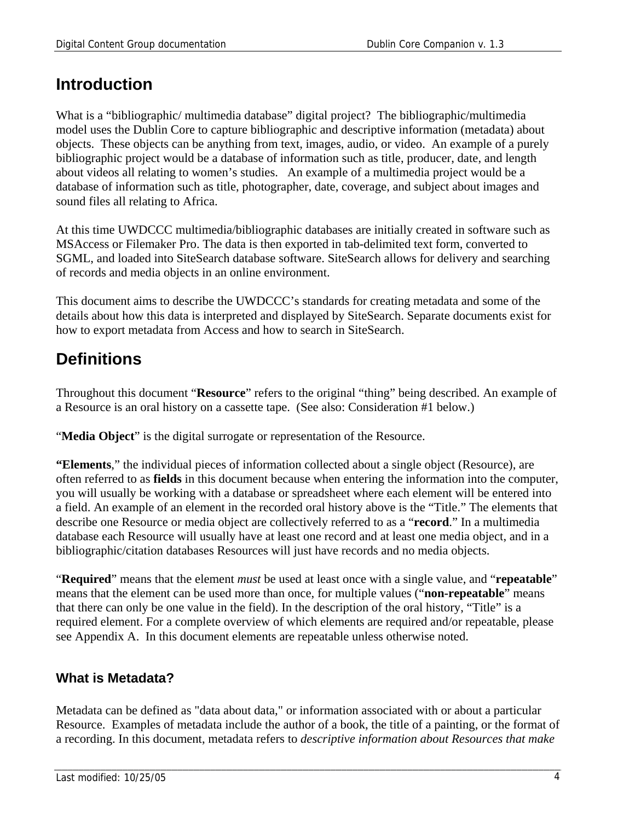## **Introduction**

What is a "bibliographic/ multimedia database" digital project? The bibliographic/multimedia model uses the Dublin Core to capture bibliographic and descriptive information (metadata) about objects. These objects can be anything from text, images, audio, or video. An example of a purely bibliographic project would be a database of information such as title, producer, date, and length about videos all relating to women's studies. An example of a multimedia project would be a database of information such as title, photographer, date, coverage, and subject about images and sound files all relating to Africa.

At this time UWDCCC multimedia/bibliographic databases are initially created in software such as MSAccess or Filemaker Pro. The data is then exported in tab-delimited text form, converted to SGML, and loaded into SiteSearch database software. SiteSearch allows for delivery and searching of records and media objects in an online environment.

This document aims to describe the UWDCCC's standards for creating metadata and some of the details about how this data is interpreted and displayed by SiteSearch. Separate documents exist for how to export metadata from Access and how to search in SiteSearch.

## **Definitions**

Throughout this document "**Resource**" refers to the original "thing" being described. An example of a Resource is an oral history on a cassette tape. (See also: Consideration #1 below.)

"**Media Object**" is the digital surrogate or representation of the Resource.

**"Elements**," the individual pieces of information collected about a single object (Resource), are often referred to as **fields** in this document because when entering the information into the computer, you will usually be working with a database or spreadsheet where each element will be entered into a field. An example of an element in the recorded oral history above is the "Title." The elements that describe one Resource or media object are collectively referred to as a "**record**." In a multimedia database each Resource will usually have at least one record and at least one media object, and in a bibliographic/citation databases Resources will just have records and no media objects.

"**Required**" means that the element *must* be used at least once with a single value, and "**repeatable**" means that the element can be used more than once, for multiple values ("**non-repeatable**" means that there can only be one value in the field). In the description of the oral history, "Title" is a required element. For a complete overview of which elements are required and/or repeatable, please see Appendix A. In this document elements are repeatable unless otherwise noted.

### **What is Metadata?**

Metadata can be defined as "data about data," or information associated with or about a particular Resource. Examples of metadata include the author of a book, the title of a painting, or the format of a recording. In this document, metadata refers to *descriptive information about Resources that make*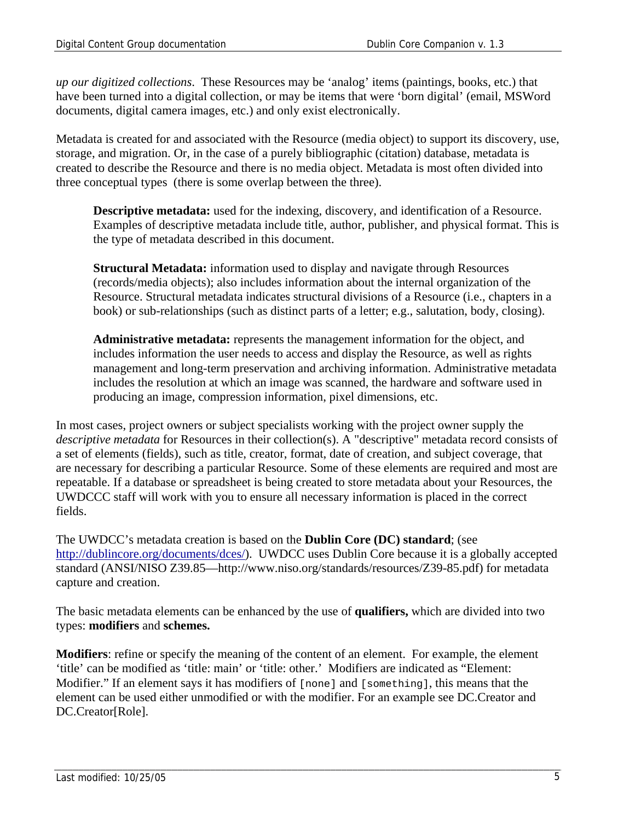*up our digitized collections*. These Resources may be 'analog' items (paintings, books, etc.) that have been turned into a digital collection, or may be items that were 'born digital' (email, MSWord documents, digital camera images, etc.) and only exist electronically.

Metadata is created for and associated with the Resource (media object) to support its discovery, use, storage, and migration. Or, in the case of a purely bibliographic (citation) database, metadata is created to describe the Resource and there is no media object. Metadata is most often divided into three conceptual types (there is some overlap between the three).

**Descriptive metadata:** used for the indexing, discovery, and identification of a Resource. Examples of descriptive metadata include title, author, publisher, and physical format. This is the type of metadata described in this document.

**Structural Metadata:** information used to display and navigate through Resources (records/media objects); also includes information about the internal organization of the Resource. Structural metadata indicates structural divisions of a Resource (i.e., chapters in a book) or sub-relationships (such as distinct parts of a letter; e.g., salutation, body, closing).

**Administrative metadata:** represents the management information for the object, and includes information the user needs to access and display the Resource, as well as rights management and long-term preservation and archiving information. Administrative metadata includes the resolution at which an image was scanned, the hardware and software used in producing an image, compression information, pixel dimensions, etc.

In most cases, project owners or subject specialists working with the project owner supply the *descriptive metadata* for Resources in their collection(s). A "descriptive" metadata record consists of a set of elements (fields), such as title, creator, format, date of creation, and subject coverage, that are necessary for describing a particular Resource. Some of these elements are required and most are repeatable. If a database or spreadsheet is being created to store metadata about your Resources, the UWDCCC staff will work with you to ensure all necessary information is placed in the correct fields.

The UWDCC's metadata creation is based on the **Dublin Core (DC) standard**; (see http://dublincore.org/documents/dces/). UWDCC uses Dublin Core because it is a globally accepted standard (ANSI/NISO Z39.85—http://www.niso.org/standards/resources/Z39-85.pdf) for metadata capture and creation.

The basic metadata elements can be enhanced by the use of **qualifiers,** which are divided into two types: **modifiers** and **schemes.** 

**Modifiers**: refine or specify the meaning of the content of an element. For example, the element 'title' can be modified as 'title: main' or 'title: other.' Modifiers are indicated as "Element: Modifier." If an element says it has modifiers of [none] and [something], this means that the element can be used either unmodified or with the modifier. For an example see DC.Creator and DC.Creator[Role].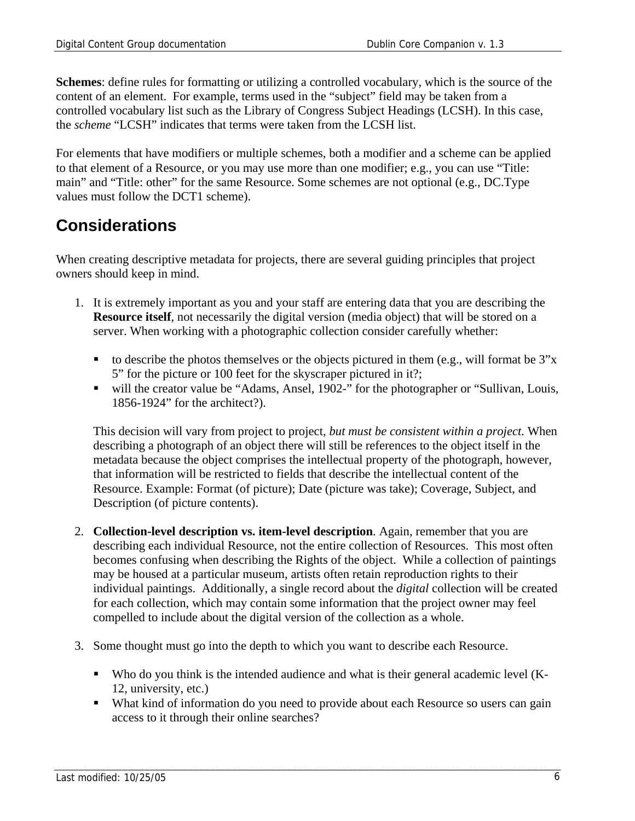**Schemes**: define rules for formatting or utilizing a controlled vocabulary, which is the source of the content of an element. For example, terms used in the "subject" field may be taken from a controlled vocabulary list such as the Library of Congress Subject Headings (LCSH). In this case, the *scheme* "LCSH" indicates that terms were taken from the LCSH list.

For elements that have modifiers or multiple schemes, both a modifier and a scheme can be applied to that element of a Resource, or you may use more than one modifier; e.g., you can use "Title: main" and "Title: other" for the same Resource. Some schemes are not optional (e.g., DC.Type values must follow the DCT1 scheme).

## **Considerations**

When creating descriptive metadata for projects, there are several guiding principles that project owners should keep in mind.

- 1. It is extremely important as you and your staff are entering data that you are describing the **Resource itself**, not necessarily the digital version (media object) that will be stored on a server. When working with a photographic collection consider carefully whether:
	- to describe the photos themselves or the objects pictured in them (e.g., will format be  $3"x$ ) 5" for the picture or 100 feet for the skyscraper pictured in it?;
	- will the creator value be "Adams, Ansel, 1902-" for the photographer or "Sullivan, Louis, 1856-1924" for the architect?).

This decision will vary from project to project*, but must be consistent within a project.* When describing a photograph of an object there will still be references to the object itself in the metadata because the object comprises the intellectual property of the photograph, however, that information will be restricted to fields that describe the intellectual content of the Resource. Example: Format (of picture); Date (picture was take); Coverage, Subject, and Description (of picture contents).

- 2. **Collection-level description vs. item-level description**. Again, remember that you are describing each individual Resource, not the entire collection of Resources. This most often becomes confusing when describing the Rights of the object. While a collection of paintings may be housed at a particular museum, artists often retain reproduction rights to their individual paintings. Additionally, a single record about the *digital* collection will be created for each collection, which may contain some information that the project owner may feel compelled to include about the digital version of the collection as a whole.
- 3. Some thought must go into the depth to which you want to describe each Resource.
	- Who do you think is the intended audience and what is their general academic level (K-12, university, etc.)
	- What kind of information do you need to provide about each Resource so users can gain access to it through their online searches?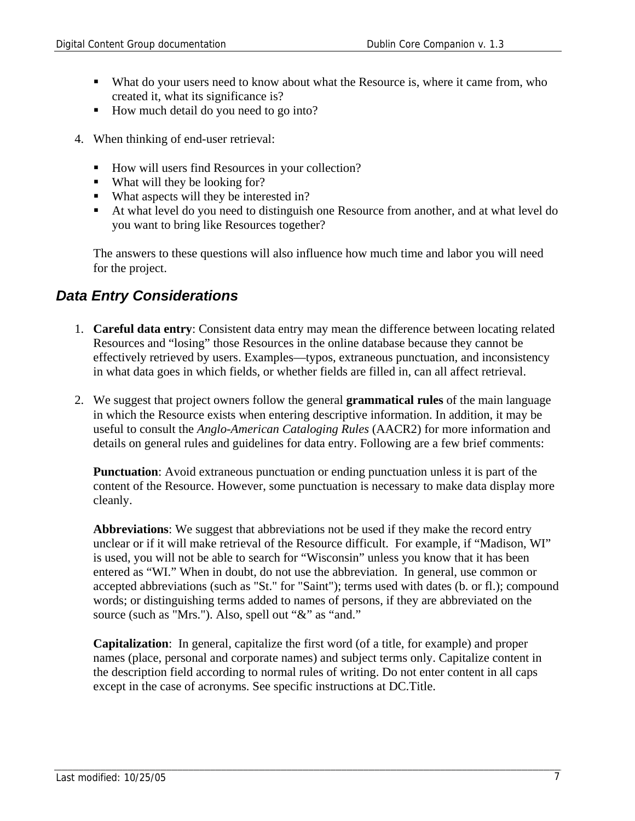- What do your users need to know about what the Resource is, where it came from, who created it, what its significance is?
- How much detail do you need to go into?
- 4. When thinking of end-user retrieval:
	- How will users find Resources in your collection?
	- What will they be looking for?
	- What aspects will they be interested in?
	- At what level do you need to distinguish one Resource from another, and at what level do you want to bring like Resources together?

The answers to these questions will also influence how much time and labor you will need for the project.

### *Data Entry Considerations*

- 1. **Careful data entry**: Consistent data entry may mean the difference between locating related Resources and "losing" those Resources in the online database because they cannot be effectively retrieved by users. Examples—typos, extraneous punctuation, and inconsistency in what data goes in which fields, or whether fields are filled in, can all affect retrieval.
- 2. We suggest that project owners follow the general **grammatical rules** of the main language in which the Resource exists when entering descriptive information. In addition, it may be useful to consult the *Anglo-American Cataloging Rules* (AACR2) for more information and details on general rules and guidelines for data entry. Following are a few brief comments:

**Punctuation**: Avoid extraneous punctuation or ending punctuation unless it is part of the content of the Resource. However, some punctuation is necessary to make data display more cleanly.

**Abbreviations**: We suggest that abbreviations not be used if they make the record entry unclear or if it will make retrieval of the Resource difficult. For example, if "Madison, WI" is used, you will not be able to search for "Wisconsin" unless you know that it has been entered as "WI." When in doubt, do not use the abbreviation. In general, use common or accepted abbreviations (such as "St." for "Saint"); terms used with dates (b. or fl.); compound words; or distinguishing terms added to names of persons, if they are abbreviated on the source (such as "Mrs."). Also, spell out "&" as "and."

**Capitalization**: In general, capitalize the first word (of a title, for example) and proper names (place, personal and corporate names) and subject terms only. Capitalize content in the description field according to normal rules of writing. Do not enter content in all caps except in the case of acronyms. See specific instructions at DC.Title.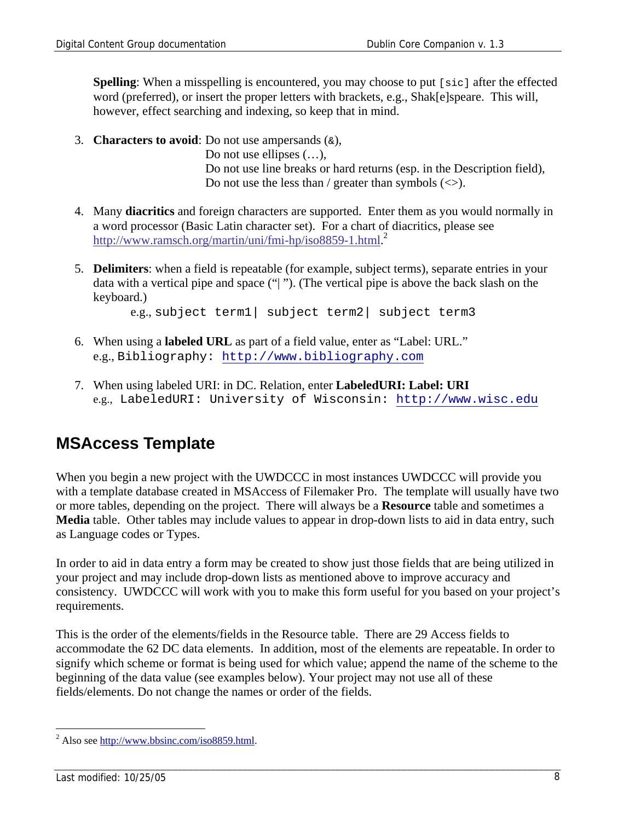**Spelling**: When a misspelling is encountered, you may choose to put [sic] after the effected word (preferred), or insert the proper letters with brackets, e.g., Shak[e]speare. This will, however, effect searching and indexing, so keep that in mind.

3. **Characters to avoid**: Do not use ampersands  $(\alpha)$ ,

Do not use ellipses  $(\ldots)$ , Do not use line breaks or hard returns (esp. in the Description field), Do not use the less than / greater than symbols  $(\le)$ .

- 4. Many **diacritics** and foreign characters are supported. Enter them as you would normally in a word processor (Basic Latin character set). For a chart of diacritics, please see http://www.ramsch.org/martin/uni/fmi-hp/iso8859-1.html.<sup>2</sup>
- 5. **Delimiters**: when a field is repeatable (for example, subject terms), separate entries in your data with a vertical pipe and space ("| "). (The vertical pipe is above the back slash on the keyboard.)

e.g., subject term1| subject term2| subject term3

- 6. When using a **labeled URL** as part of a field value, enter as "Label: URL." e.g., Bibliography: http://www.bibliography.com
- 7. When using labeled URI: in DC. Relation, enter **LabeledURI: Label: URI** e.g., LabeledURI: University of Wisconsin: http://www.wisc.edu

## **MSAccess Template**

When you begin a new project with the UWDCCC in most instances UWDCCC will provide you with a template database created in MSAccess of Filemaker Pro. The template will usually have two or more tables, depending on the project. There will always be a **Resource** table and sometimes a **Media** table. Other tables may include values to appear in drop-down lists to aid in data entry, such as Language codes or Types.

In order to aid in data entry a form may be created to show just those fields that are being utilized in your project and may include drop-down lists as mentioned above to improve accuracy and consistency. UWDCCC will work with you to make this form useful for you based on your project's requirements.

This is the order of the elements/fields in the Resource table. There are 29 Access fields to accommodate the 62 DC data elements. In addition, most of the elements are repeatable. In order to signify which scheme or format is being used for which value; append the name of the scheme to the beginning of the data value (see examples below). Your project may not use all of these fields/elements. Do not change the names or order of the fields.

 $\overline{a}$  $^{2}$  Also see http://www.bbsinc.com/iso8859.html.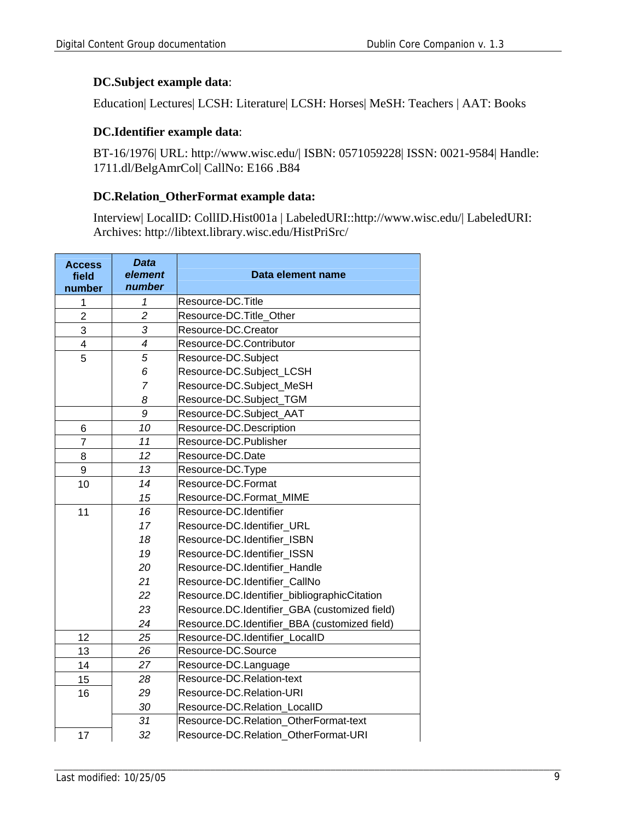#### **DC.Subject example data**:

Education| Lectures| LCSH: Literature| LCSH: Horses| MeSH: Teachers | AAT: Books

#### **DC.Identifier example data**:

BT-16/1976| URL: http://www.wisc.edu/| ISBN: 0571059228| ISSN: 0021-9584| Handle: 1711.dl/BelgAmrCol| CallNo: E166 .B84

#### **DC.Relation\_OtherFormat example data:**

Interview| LocalID: CollID.Hist001a | LabeledURI::http://www.wisc.edu/| LabeledURI: Archives: http://libtext.library.wisc.edu/HistPriSrc/

| <b>Access</b><br>field<br>number | <b>Data</b><br>element<br>number | Data element name                             |  |
|----------------------------------|----------------------------------|-----------------------------------------------|--|
| 1                                | 1                                | Resource-DC.Title                             |  |
| $\overline{2}$                   | $\overline{c}$                   | Resource-DC.Title_Other                       |  |
| 3                                | 3                                | Resource-DC.Creator                           |  |
| $\overline{\mathbf{4}}$          | 4                                | Resource-DC.Contributor                       |  |
| 5                                | 5                                | Resource-DC.Subject                           |  |
|                                  | 6                                | Resource-DC.Subject_LCSH                      |  |
|                                  | $\overline{7}$                   | Resource-DC.Subject_MeSH                      |  |
|                                  | 8                                | Resource-DC.Subject_TGM                       |  |
|                                  | 9                                | Resource-DC.Subject_AAT                       |  |
| 6                                | 10                               | Resource-DC.Description                       |  |
| $\overline{7}$                   | 11                               | Resource-DC.Publisher                         |  |
| 8                                | 12                               | Resource-DC.Date                              |  |
| 9                                | 13                               | Resource-DC.Type                              |  |
| 10                               | 14                               | Resource-DC.Format                            |  |
|                                  | 15                               | Resource-DC.Format MIME                       |  |
| 11                               | 16                               | Resource-DC.Identifier                        |  |
|                                  | 17                               | Resource-DC.Identifier_URL                    |  |
|                                  | 18                               | Resource-DC.Identifier ISBN                   |  |
|                                  | 19                               | Resource-DC.Identifier ISSN                   |  |
|                                  | 20                               | Resource-DC.Identifier Handle                 |  |
|                                  | 21                               | Resource-DC.Identifier CallNo                 |  |
|                                  | 22                               | Resource.DC.Identifier_bibliographicCitation  |  |
|                                  | 23                               | Resource.DC.Identifier_GBA (customized field) |  |
|                                  | 24                               | Resource.DC.Identifier_BBA (customized field) |  |
| 12                               | 25                               | Resource-DC.Identifier LocalID                |  |
| 13                               | 26                               | Resource-DC.Source                            |  |
| 14                               | 27                               | Resource-DC.Language                          |  |
| 15                               | 28                               | Resource-DC.Relation-text                     |  |
| 16                               | 29                               | Resource-DC.Relation-URI                      |  |
|                                  | 30                               | Resource-DC.Relation LocalID                  |  |
|                                  | 31                               | Resource-DC.Relation OtherFormat-text         |  |
| 17                               | 32                               | Resource-DC.Relation OtherFormat-URI          |  |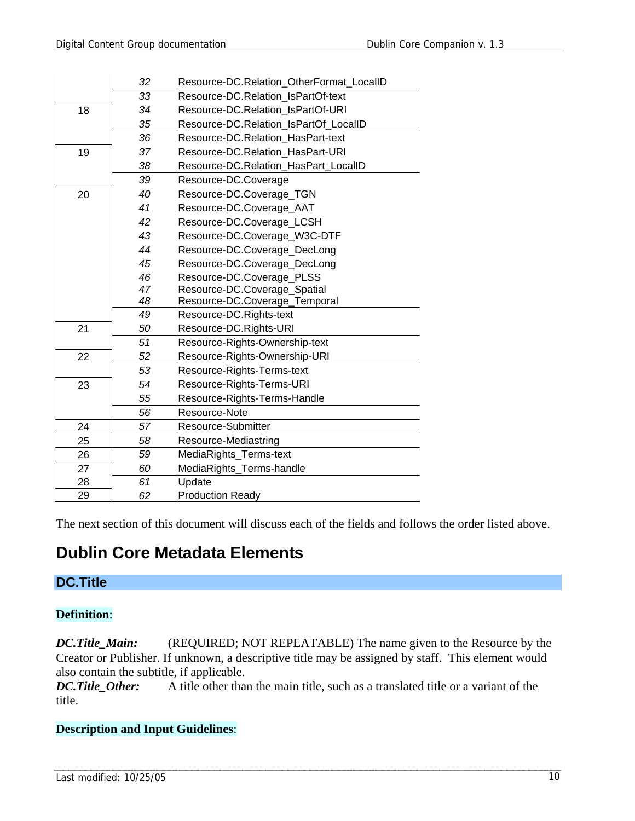|    | 32 | Resource-DC.Relation OtherFormat LocalID |  |  |  |
|----|----|------------------------------------------|--|--|--|
|    | 33 | Resource-DC.Relation IsPartOf-text       |  |  |  |
| 18 | 34 | Resource-DC.Relation IsPartOf-URI        |  |  |  |
|    | 35 | Resource-DC.Relation IsPartOf LocalID    |  |  |  |
|    | 36 | Resource-DC.Relation HasPart-text        |  |  |  |
| 19 | 37 | Resource-DC.Relation_HasPart-URI         |  |  |  |
|    | 38 | Resource-DC.Relation HasPart LocalID     |  |  |  |
|    | 39 | Resource-DC.Coverage                     |  |  |  |
| 20 | 40 | Resource-DC.Coverage_TGN                 |  |  |  |
|    | 41 | Resource-DC.Coverage_AAT                 |  |  |  |
|    | 42 | Resource-DC.Coverage_LCSH                |  |  |  |
|    | 43 | Resource-DC.Coverage_W3C-DTF             |  |  |  |
|    | 44 | Resource-DC.Coverage_DecLong             |  |  |  |
|    | 45 | Resource-DC.Coverage_DecLong             |  |  |  |
|    | 46 | Resource-DC.Coverage_PLSS                |  |  |  |
|    | 47 | Resource-DC.Coverage_Spatial             |  |  |  |
|    | 48 | Resource-DC.Coverage_Temporal            |  |  |  |
|    | 49 | Resource-DC.Rights-text                  |  |  |  |
| 21 | 50 | Resource-DC.Rights-URI                   |  |  |  |
|    | 51 | Resource-Rights-Ownership-text           |  |  |  |
| 22 | 52 | Resource-Rights-Ownership-URI            |  |  |  |
|    | 53 | Resource-Rights-Terms-text               |  |  |  |
| 23 | 54 | Resource-Rights-Terms-URI                |  |  |  |
|    | 55 | Resource-Rights-Terms-Handle             |  |  |  |
|    | 56 | Resource-Note                            |  |  |  |
| 24 | 57 | Resource-Submitter                       |  |  |  |
| 25 | 58 | Resource-Mediastring                     |  |  |  |
| 26 | 59 | MediaRights_Terms-text                   |  |  |  |
| 27 | 60 | MediaRights_Terms-handle                 |  |  |  |
| 28 | 61 | Update                                   |  |  |  |
| 29 | 62 | <b>Production Ready</b>                  |  |  |  |

The next section of this document will discuss each of the fields and follows the order listed above.

## **Dublin Core Metadata Elements**

### **DC.Title**

#### **Definition**:

*DC.Title\_Main:* (REQUIRED; NOT REPEATABLE) The name given to the Resource by the Creator or Publisher. If unknown, a descriptive title may be assigned by staff. This element would also contain the subtitle, if applicable.

*DC.Title Other:* A title other than the main title, such as a translated title or a variant of the title.

#### **Description and Input Guidelines**: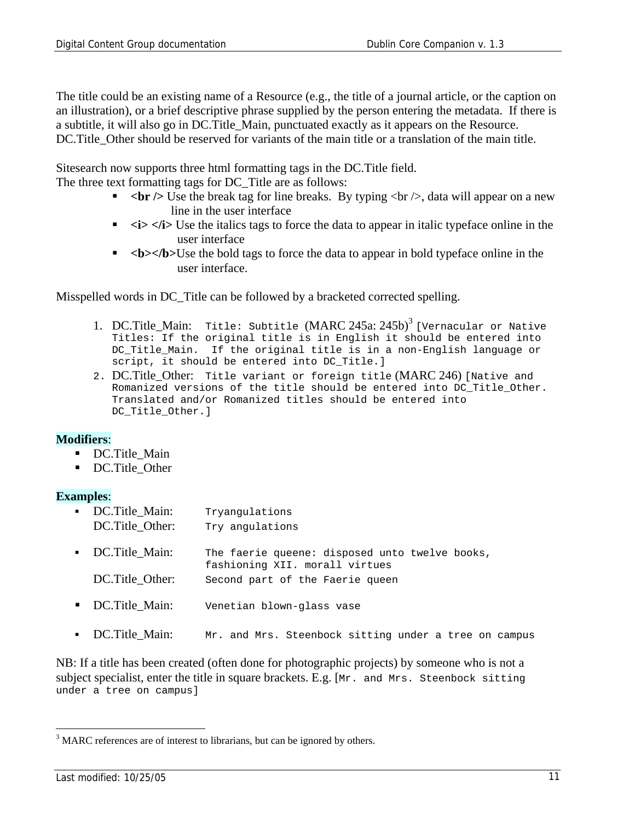The title could be an existing name of a Resource (e.g., the title of a journal article, or the caption on an illustration), or a brief descriptive phrase supplied by the person entering the metadata. If there is a subtitle, it will also go in DC.Title\_Main, punctuated exactly as it appears on the Resource. DC. Title Other should be reserved for variants of the main title or a translation of the main title.

Sitesearch now supports three html formatting tags in the DC.Title field.

The three text formatting tags for DC\_Title are as follows:

- **br**  $\leq$  **U**se the break tag for line breaks. By typing  $\leq$  br  $\geq$ , data will appear on a new line in the user interface
- $\blacktriangleright$  $\lt$ **i>**  $\lt$ **i> Use the italics tags to force the data to appear in italic typeface online in the** user interface
- **•**  $$ user interface.

Misspelled words in DC\_Title can be followed by a bracketed corrected spelling.

- 1. DC. Title Main: Title: Subtitle  $(MARC 245a: 245b)^3$  [Vernacular or Native Titles: If the original title is in English it should be entered into DC Title Main. If the original title is in a non-English language or script, it should be entered into DC Title.]
- 2. DC.Title\_Other: Title variant or foreign title (MARC 246) [Native and Romanized versions of the title should be entered into DC\_Title\_Other. Translated and/or Romanized titles should be entered into DC\_Title\_Other.]

#### **Modifiers**:

- DC.Title Main
- DC.Title Other

#### **Examples**:

| • DC. Title Main:<br>DC.Title Other: | Tryangulations<br>Try angulations                                                |
|--------------------------------------|----------------------------------------------------------------------------------|
| • DC. Title Main:                    | The faerie queene: disposed unto twelve books,<br>fashioning XII. morall virtues |
| DC.Title Other:                      | Second part of the Faerie queen                                                  |
| • DC. Title Main:                    | Venetian blown-glass vase                                                        |

• DC. Title Main: Mr. and Mrs. Steenbock sitting under a tree on campus

NB: If a title has been created (often done for photographic projects) by someone who is not a subject specialist, enter the title in square brackets. E.g. [Mr. and Mrs. Steenbock sitting under a tree on campus]

 $\overline{a}$ 

 $3$  MARC references are of interest to librarians, but can be ignored by others.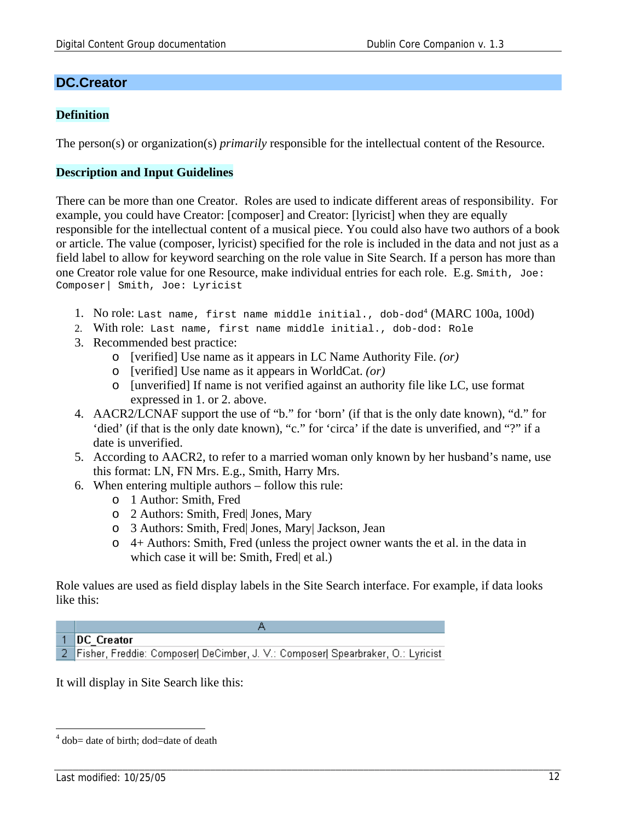#### **DC.Creator**

#### **Definition**

The person(s) or organization(s) *primarily* responsible for the intellectual content of the Resource.

#### **Description and Input Guidelines**

There can be more than one Creator. Roles are used to indicate different areas of responsibility. For example, you could have Creator: [composer] and Creator: [lyricist] when they are equally responsible for the intellectual content of a musical piece. You could also have two authors of a book or article. The value (composer, lyricist) specified for the role is included in the data and not just as a field label to allow for keyword searching on the role value in Site Search. If a person has more than one Creator role value for one Resource, make individual entries for each role. E.g. Smith, Joe: Composer| Smith, Joe: Lyricist

- 1. No role: Last name, first name middle initial., dob-dod<sup>4</sup> (MARC 100a, 100d)
- 2. With role: Last name, first name middle initial., dob-dod: Role
- 3. Recommended best practice:
	- o [verified] Use name as it appears in LC Name Authority File. *(or)*
	- o [verified] Use name as it appears in WorldCat. *(or)*
	- o [unverified] If name is not verified against an authority file like LC, use format expressed in 1. or 2. above.
- 4. AACR2/LCNAF support the use of "b." for 'born' (if that is the only date known), "d." for 'died' (if that is the only date known), "c." for 'circa' if the date is unverified, and "?" if a date is unverified.
- 5. According to AACR2, to refer to a married woman only known by her husband's name, use this format: LN, FN Mrs. E.g., Smith, Harry Mrs.
- 6. When entering multiple authors follow this rule:
	- o 1 Author: Smith, Fred
	- o 2 Authors: Smith, Fred| Jones, Mary
	- o 3 Authors: Smith, Fred| Jones, Mary| Jackson, Jean
	- o 4+ Authors: Smith, Fred (unless the project owner wants the et al. in the data in which case it will be: Smith, Fred et al.)

Role values are used as field display labels in the Site Search interface. For example, if data looks like this:



It will display in Site Search like this:

 $\overline{a}$ 

<sup>&</sup>lt;sup>4</sup> dob= date of birth; dod=date of death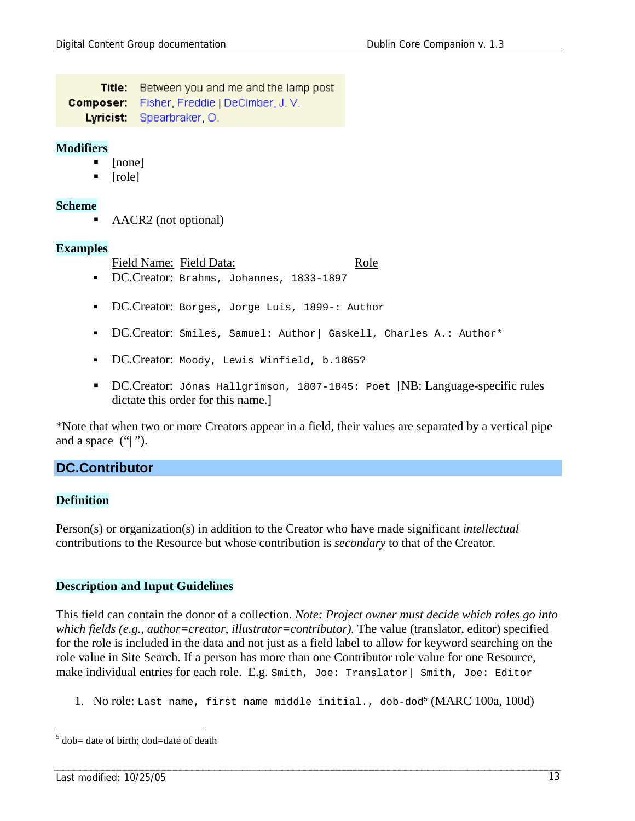Title: Between you and me and the lamp post Composer: Fisher, Freddie | DeCimber, J. V. Lyricist: Spearbraker, O.

#### **Modifiers**

- [none]
- [role]

#### **Scheme**

AACR2 (not optional)

#### **Examples**

Field Name: Field Data: Role

- DC.Creator: Brahms, Johannes, 1833-1897
- DC.Creator: Borges, Jorge Luis, 1899-: Author
- DC.Creator: Smiles, Samuel: Author| Gaskell, Charles A.: Author\*
- DC.Creator: Moody, Lewis Winfield, b.1865?
- DC.Creator: Jónas Hallgrímson, 1807-1845: Poet [NB: Language-specific rules dictate this order for this name.]

\*Note that when two or more Creators appear in a field, their values are separated by a vertical pipe and a space  $(" \|$ ").

#### **DC.Contributor**

#### **Definition**

Person(s) or organization(s) in addition to the Creator who have made significant *intellectual* contributions to the Resource but whose contribution is *secondary* to that of the Creator.

#### **Description and Input Guidelines**

This field can contain the donor of a collection. *Note: Project owner must decide which roles go into which fields (e.g., author=creator, illustrator=contributor).* The value (translator, editor) specified for the role is included in the data and not just as a field label to allow for keyword searching on the role value in Site Search. If a person has more than one Contributor role value for one Resource, make individual entries for each role. E.g. Smith, Joe: Translator| Smith, Joe: Editor

1. No role: Last name, first name middle initial., dob-dod<sup>5</sup> (MARC 100a, 100d)

 $\overline{a}$ 

 $5$  dob= date of birth; dod=date of death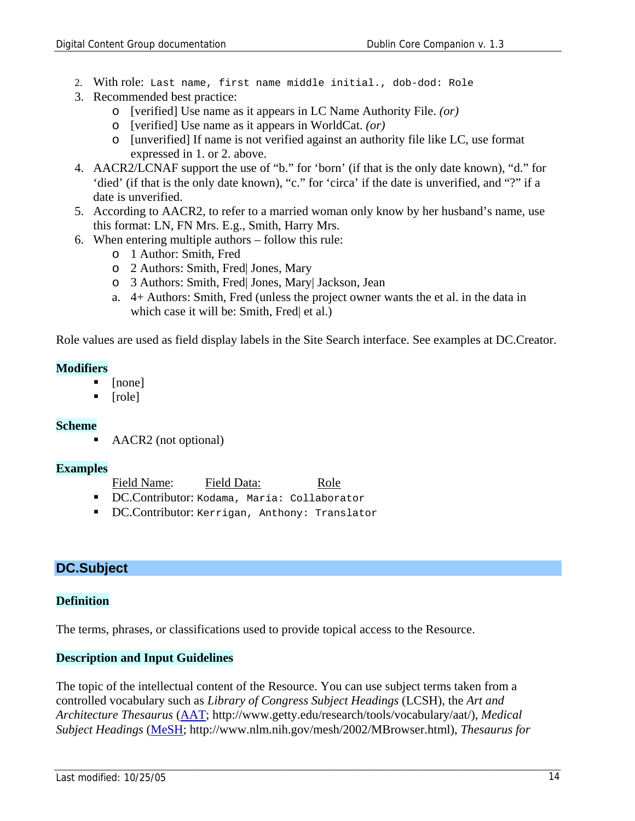- 2. With role: Last name, first name middle initial., dob-dod: Role
- 3. Recommended best practice:
	- o [verified] Use name as it appears in LC Name Authority File. *(or)*
	- o [verified] Use name as it appears in WorldCat. *(or)*
	- o [unverified] If name is not verified against an authority file like LC, use format expressed in 1. or 2. above.
- 4. AACR2/LCNAF support the use of "b." for 'born' (if that is the only date known), "d." for 'died' (if that is the only date known), "c." for 'circa' if the date is unverified, and "?" if a date is unverified.
- 5. According to AACR2, to refer to a married woman only know by her husband's name, use this format: LN, FN Mrs. E.g., Smith, Harry Mrs.
- 6. When entering multiple authors follow this rule:
	- o 1 Author: Smith, Fred
	- o 2 Authors: Smith, Fred| Jones, Mary
	- o 3 Authors: Smith, Fred| Jones, Mary| Jackson, Jean
	- a. 4+ Authors: Smith, Fred (unless the project owner wants the et al. in the data in which case it will be: Smith, Fred et al.)

Role values are used as field display labels in the Site Search interface. See examples at DC.Creator.

#### **Modifiers**

- [none]
- [role]

#### **Scheme**

AACR2 (not optional)

#### **Examples**

- Field Name: Field Data: Role
- DC.Contributor: Kodama, María: Collaborator
- DC.Contributor: Kerrigan, Anthony: Translator

#### **DC.Subject**

#### **Definition**

The terms, phrases, or classifications used to provide topical access to the Resource.

#### **Description and Input Guidelines**

The topic of the intellectual content of the Resource. You can use subject terms taken from a controlled vocabulary such as *Library of Congress Subject Headings* (LCSH), the *Art and Architecture Thesaurus* (AAT; http://www.getty.edu/research/tools/vocabulary/aat/), *Medical Subject Headings* (MeSH; http://www.nlm.nih.gov/mesh/2002/MBrowser.html), *Thesaurus for*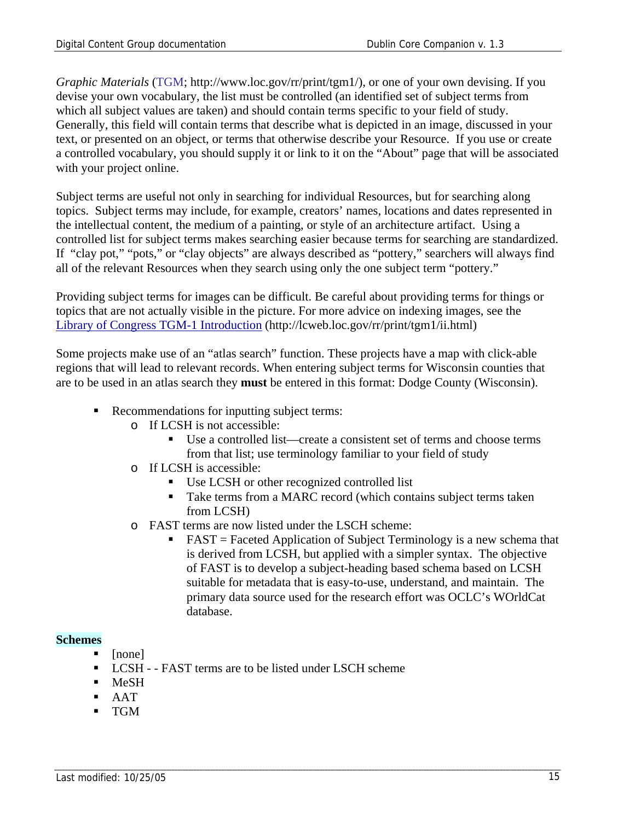*Graphic Materials* (TGM; http://www.loc.gov/rr/print/tgm1/), or one of your own devising. If you devise your own vocabulary, the list must be controlled (an identified set of subject terms from which all subject values are taken) and should contain terms specific to your field of study. Generally, this field will contain terms that describe what is depicted in an image, discussed in your text, or presented on an object, or terms that otherwise describe your Resource. If you use or create a controlled vocabulary, you should supply it or link to it on the "About" page that will be associated with your project online.

Subject terms are useful not only in searching for individual Resources, but for searching along topics. Subject terms may include, for example, creators' names, locations and dates represented in the intellectual content, the medium of a painting, or style of an architecture artifact. Using a controlled list for subject terms makes searching easier because terms for searching are standardized. If "clay pot," "pots," or "clay objects" are always described as "pottery," searchers will always find all of the relevant Resources when they search using only the one subject term "pottery."

Providing subject terms for images can be difficult. Be careful about providing terms for things or topics that are not actually visible in the picture. For more advice on indexing images, see the Library of Congress TGM-1 Introduction (http://lcweb.loc.gov/rr/print/tgm1/ii.html)

Some projects make use of an "atlas search" function. These projects have a map with click-able regions that will lead to relevant records. When entering subject terms for Wisconsin counties that are to be used in an atlas search they **must** be entered in this format: Dodge County (Wisconsin).

- Recommendations for inputting subject terms:
	- o If LCSH is not accessible:
		- Use a controlled list—create a consistent set of terms and choose terms from that list; use terminology familiar to your field of study
	- o If LCSH is accessible:
		- Use LCSH or other recognized controlled list
		- Take terms from a MARC record (which contains subject terms taken from LCSH)
	- o FAST terms are now listed under the LSCH scheme:
		- FAST = Faceted Application of Subject Terminology is a new schema that is derived from LCSH, but applied with a simpler syntax. The objective of FAST is to develop a subject-heading based schema based on LCSH suitable for metadata that is easy-to-use, understand, and maintain. The primary data source used for the research effort was OCLC's WOrldCat database.

#### **Schemes**

- [none]
- LCSH - FAST terms are to be listed under LSCH scheme
- **MeSH**
- AAT
- TGM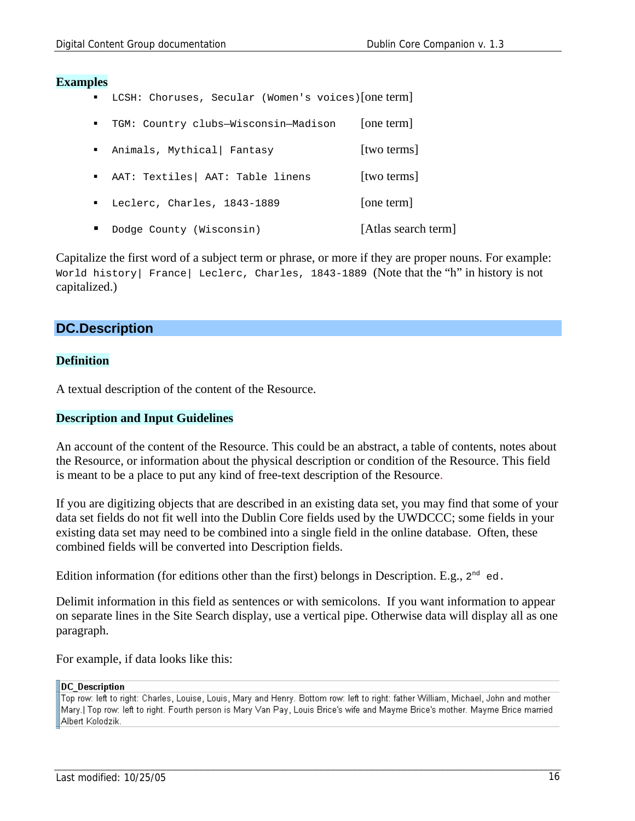#### **Examples**

LCSH: Choruses, Secular (Women's voices)[one term]

| $\blacksquare$              | TGM: Country clubs-Wisconsin-Madison | [one term]          |
|-----------------------------|--------------------------------------|---------------------|
|                             | Animals, Mythical Fantasy            | [two terms]         |
|                             | AAT: Textiles   AAT: Table linens    | [two terms]         |
| $\mathbf{m}$ , $\mathbf{m}$ | Leclerc, Charles, 1843-1889          | [one term]          |
|                             | Dodge County (Wisconsin)             | [Atlas search term] |

Capitalize the first word of a subject term or phrase, or more if they are proper nouns. For example: World history| France| Leclerc, Charles, 1843-1889 (Note that the "h" in history is not capitalized.)

#### **DC.Description**

#### **Definition**

A textual description of the content of the Resource.

#### **Description and Input Guidelines**

An account of the content of the Resource. This could be an abstract, a table of contents, notes about the Resource, or information about the physical description or condition of the Resource. This field is meant to be a place to put any kind of free-text description of the Resource.

If you are digitizing objects that are described in an existing data set, you may find that some of your data set fields do not fit well into the Dublin Core fields used by the UWDCCC; some fields in your existing data set may need to be combined into a single field in the online database. Often, these combined fields will be converted into Description fields.

Edition information (for editions other than the first) belongs in Description. E.g.,  $2^{nd}$  ed.

Delimit information in this field as sentences or with semicolons. If you want information to appear on separate lines in the Site Search display, use a vertical pipe. Otherwise data will display all as one paragraph.

For example, if data looks like this:

#### **DC** Description

Top row: left to right: Charles, Louise, Louis, Mary and Henry. Bottom row: left to right: father William, Michael, John and mother Mary.] Top row: left to right. Fourth person is Mary Van Pay, Louis Brice's wife and Mayme Brice's mother. Mayme Brice married Albert Kolodzik.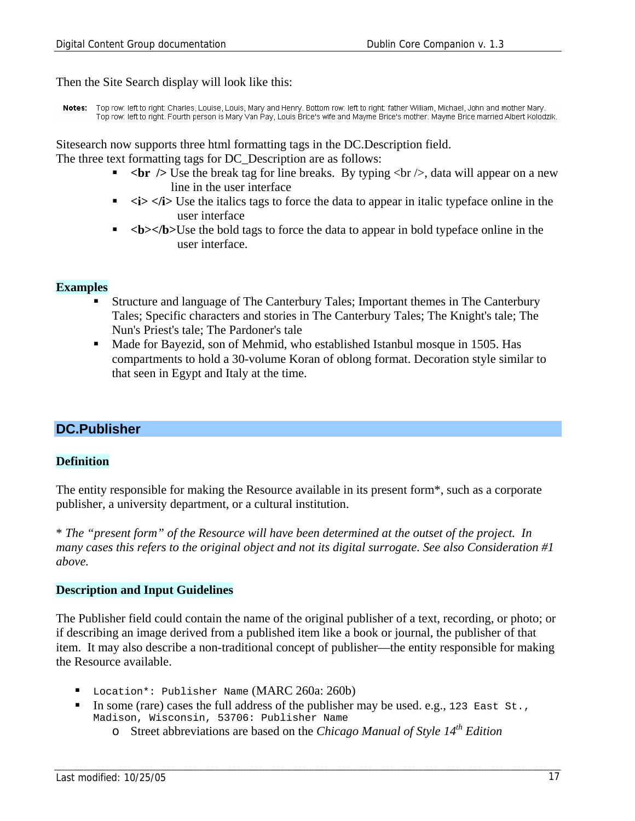Then the Site Search display will look like this:

Notes: Top row: left to right: Charles, Louise, Louis, Mary and Henry. Bottom row: left to right: father William, Michael, John and mother Mary. Top row: left to right. Fourth person is Mary Van Pay, Louis Brice's wife and Mayme Brice's mother. Mayme Brice married Albert Kolodzik.

Sitesearch now supports three html formatting tags in the DC.Description field.

The three text formatting tags for DC\_Description are as follows:

- $\langle$  br  $\rangle$  Use the break tag for line breaks. By typing  $\langle$  br  $\rangle$ , data will appear on a new line in the user interface
- $\blacktriangleright$  $\lt$ **i>**  $\lt$ **i** $\lt$ ib Use the italics tags to force the data to appear in italic typeface online in the user interface
- **•**  $\lt b \lt b \lt b$  b>Use the bold tags to force the data to appear in bold typeface online in the user interface.

#### **Examples**

- Structure and language of The Canterbury Tales; Important themes in The Canterbury Tales; Specific characters and stories in The Canterbury Tales; The Knight's tale; The Nun's Priest's tale; The Pardoner's tale
- Made for Bayezid, son of Mehmid, who established Istanbul mosque in 1505. Has compartments to hold a 30-volume Koran of oblong format. Decoration style similar to that seen in Egypt and Italy at the time.

#### **DC.Publisher**

#### **Definition**

The entity responsible for making the Resource available in its present form\*, such as a corporate publisher, a university department, or a cultural institution.

\* *The "present form" of the Resource will have been determined at the outset of the project. In many cases this refers to the original object and not its digital surrogate. See also Consideration #1 above.*

#### **Description and Input Guidelines**

The Publisher field could contain the name of the original publisher of a text, recording, or photo; or if describing an image derived from a published item like a book or journal, the publisher of that item. It may also describe a non-traditional concept of publisher—the entity responsible for making the Resource available.

- Location\*: Publisher Name (MARC 260a: 260b)
- In some (rare) cases the full address of the publisher may be used. e.g., 123 East St., Madison, Wisconsin, 53706: Publisher Name
	- o Street abbreviations are based on the *Chicago Manual of Style 14th Edition*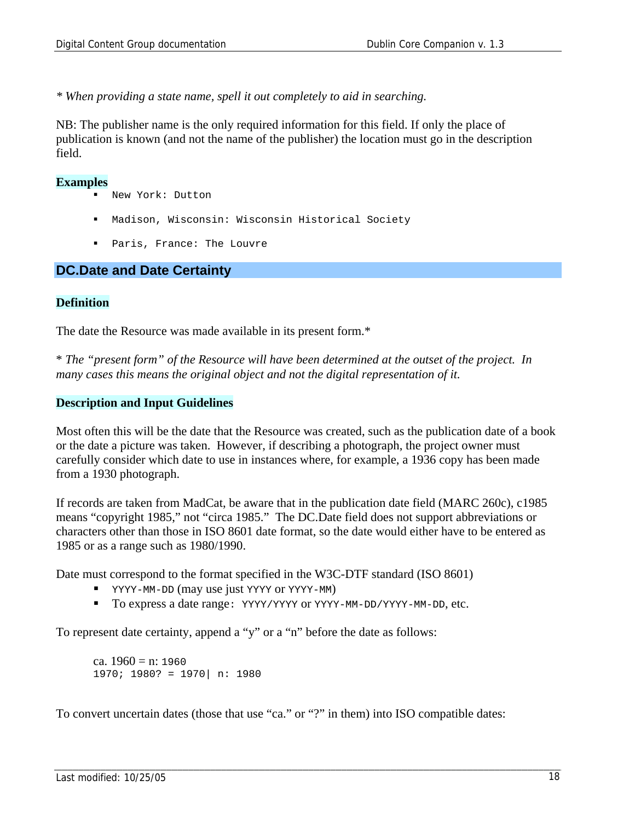*\* When providing a state name, spell it out completely to aid in searching.* 

NB: The publisher name is the only required information for this field. If only the place of publication is known (and not the name of the publisher) the location must go in the description field.

#### **Examples**

- New York: Dutton
- Madison, Wisconsin: Wisconsin Historical Society
- Paris, France: The Louvre

#### **DC.Date and Date Certainty**

#### **Definition**

The date the Resource was made available in its present form.\*

\* *The "present form" of the Resource will have been determined at the outset of the project. In many cases this means the original object and not the digital representation of it.*

#### **Description and Input Guidelines**

Most often this will be the date that the Resource was created, such as the publication date of a book or the date a picture was taken. However, if describing a photograph, the project owner must carefully consider which date to use in instances where, for example, a 1936 copy has been made from a 1930 photograph.

If records are taken from MadCat, be aware that in the publication date field (MARC 260c), c1985 means "copyright 1985," not "circa 1985." The DC.Date field does not support abbreviations or characters other than those in ISO 8601 date format, so the date would either have to be entered as 1985 or as a range such as 1980/1990.

Date must correspond to the format specified in the W3C-DTF standard (ISO 8601)

- **T** YYYY-MM-DD (may use just YYYY or YYYY-MM)
- To express a date range: YYYY/YYYY or YYYY-MM-DD/YYYY-MM-DD, etc.

To represent date certainty, append a "y" or a "n" before the date as follows:

ca.  $1960 = n$ : 1960 1970; 1980? = 1970| n: 1980

To convert uncertain dates (those that use "ca." or "?" in them) into ISO compatible dates: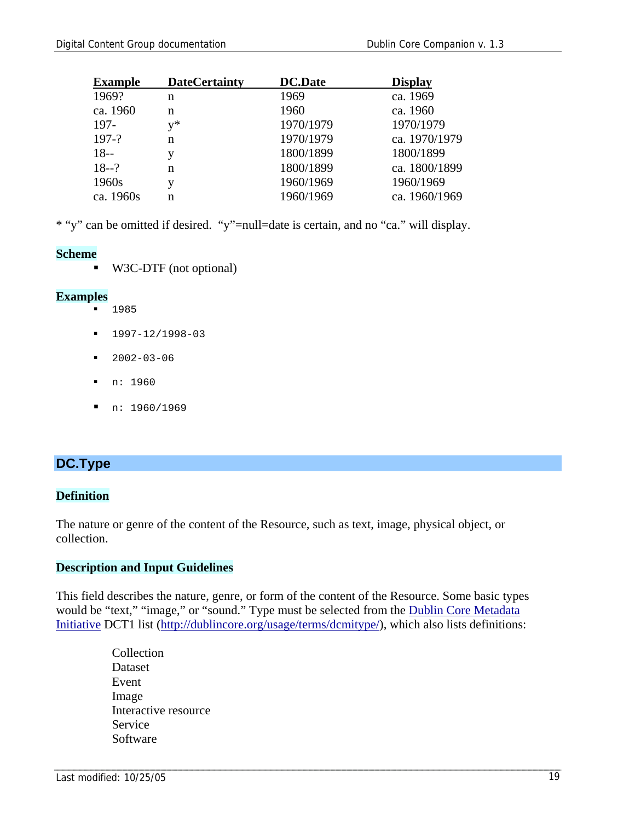| <b>Example</b> | <b>DateCertainty</b> | <b>DC.Date</b> | <b>Display</b> |
|----------------|----------------------|----------------|----------------|
| 1969?          | n                    | 1969           | ca. 1969       |
| ca. 1960       | n                    | 1960           | ca. 1960       |
| 197-           | $v^*$                | 1970/1979      | 1970/1979      |
| $197-?$        | n                    | 1970/1979      | ca. 1970/1979  |
| $18 -$         |                      | 1800/1899      | 1800/1899      |
| $18 - ?$       | n                    | 1800/1899      | ca. 1800/1899  |
| 1960s          |                      | 1960/1969      | 1960/1969      |
| ca. 1960s      | n                    | 1960/1969      | ca. 1960/1969  |
|                |                      |                |                |

\* "y" can be omitted if desired. "y"=null=date is certain, and no "ca." will display.

#### **Scheme**

W3C-DTF (not optional)

#### **Examples**

- 1985
- $1997-12/1998-03$
- $-2002-03-06$
- n: 1960
- $\blacksquare$  n: 1960/1969

#### **DC.Type**

#### **Definition**

The nature or genre of the content of the Resource, such as text, image, physical object, or collection.

#### **Description and Input Guidelines**

This field describes the nature, genre, or form of the content of the Resource. Some basic types would be "text," "image," or "sound." Type must be selected from the Dublin Core Metadata Initiative DCT1 list (http://dublincore.org/usage/terms/dcmitype/), which also lists definitions:

> Collection Dataset Event Image Interactive resource Service Software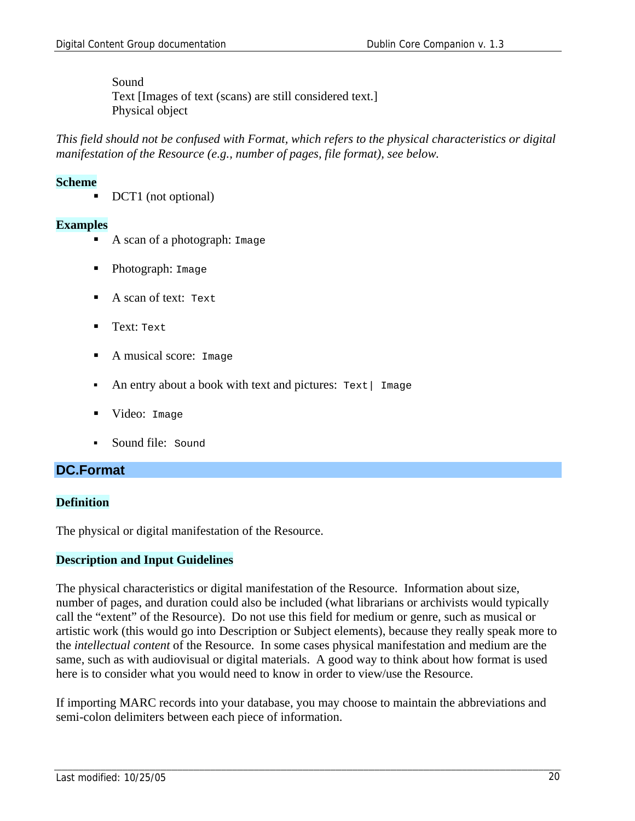Sound Text [Images of text (scans) are still considered text.] Physical object

*This field should not be confused with Format, which refers to the physical characteristics or digital manifestation of the Resource (e.g., number of pages, file format), see below.* 

#### **Scheme**

DCT1 (not optional)

#### **Examples**

- A scan of a photograph: Image
- Photograph: Image
- A scan of text: Text
- **Text: Text**
- A musical score: Image
- An entry about a book with text and pictures:  $Text$  Image
- **U** Video: Image
- Sound file: Sound

#### **DC.Format**

#### **Definition**

The physical or digital manifestation of the Resource.

#### **Description and Input Guidelines**

The physical characteristics or digital manifestation of the Resource. Information about size, number of pages, and duration could also be included (what librarians or archivists would typically call the "extent" of the Resource). Do not use this field for medium or genre, such as musical or artistic work (this would go into Description or Subject elements), because they really speak more to the *intellectual content* of the Resource. In some cases physical manifestation and medium are the same, such as with audiovisual or digital materials. A good way to think about how format is used here is to consider what you would need to know in order to view/use the Resource.

If importing MARC records into your database, you may choose to maintain the abbreviations and semi-colon delimiters between each piece of information.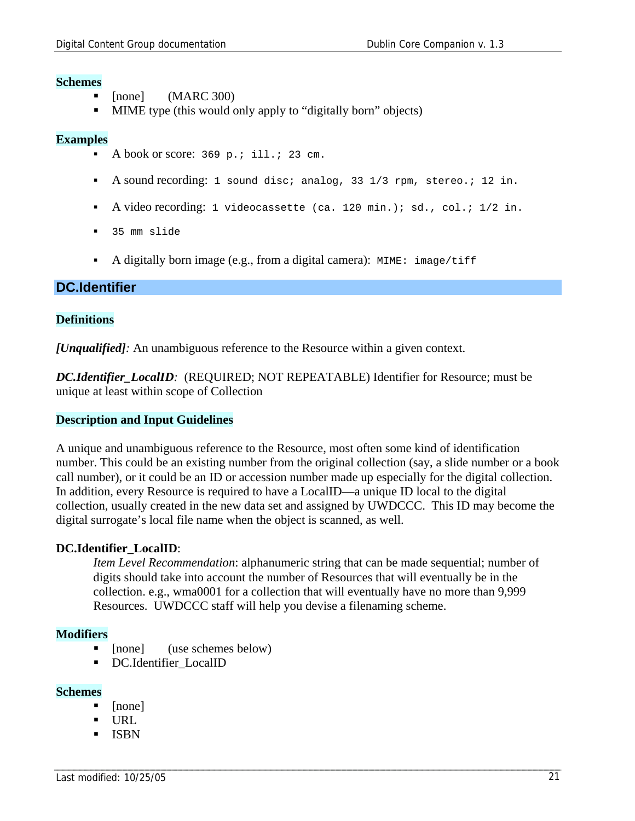#### **Schemes**

- [none] (MARC 300)
- **MIME** type (this would only apply to "digitally born" objects)

#### **Examples**

- A book or score:  $369$  p.; ill.; 23 cm.
- A sound recording: 1 sound disc; analog, 33 1/3 rpm, stereo.; 12 in.
- A video recording: 1 videocassette (ca. 120 min.); sd., col.;  $1/2$  in.
- 35 mm slide
- A digitally born image (e.g., from a digital camera): MIME: image/tiff

#### **DC.Identifier**

#### **Definitions**

*[Unqualified]:* An unambiguous reference to the Resource within a given context.

*DC.Identifier\_LocalID:* (REQUIRED; NOT REPEATABLE) Identifier for Resource; must be unique at least within scope of Collection

#### **Description and Input Guidelines**

A unique and unambiguous reference to the Resource, most often some kind of identification number. This could be an existing number from the original collection (say, a slide number or a book call number), or it could be an ID or accession number made up especially for the digital collection. In addition, every Resource is required to have a LocalID—a unique ID local to the digital collection, usually created in the new data set and assigned by UWDCCC. This ID may become the digital surrogate's local file name when the object is scanned, as well.

#### **DC.Identifier\_LocalID**:

*Item Level Recommendation*: alphanumeric string that can be made sequential; number of digits should take into account the number of Resources that will eventually be in the collection. e.g., wma0001 for a collection that will eventually have no more than 9,999 Resources. UWDCCC staff will help you devise a filenaming scheme.

#### **Modifiers**

- [none] (use schemes below)
- DC.Identifier LocalID

#### **Schemes**

- [none]
- URL
- ISBN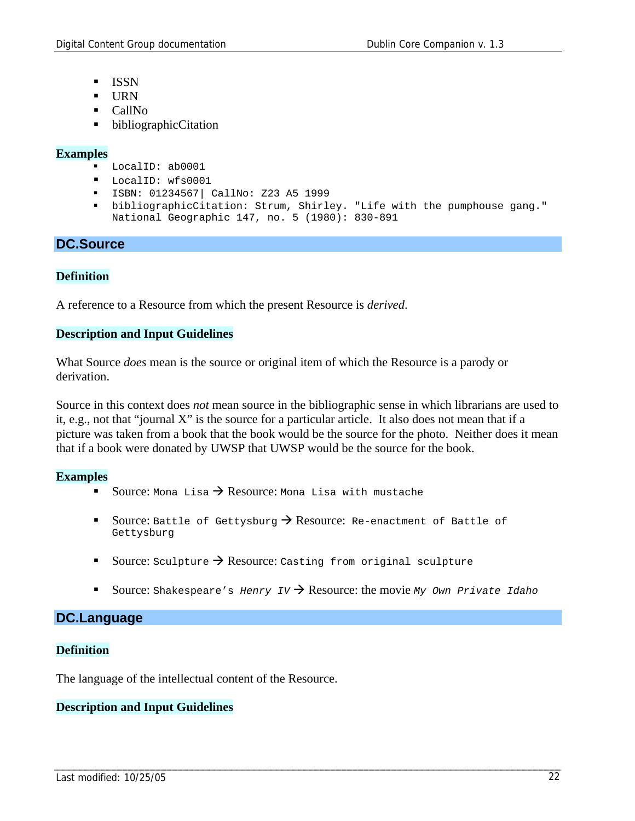- ISSN
- URN
- CallNo
- bibliographicCitation

#### **Examples**

- LocalID: ab0001
- **LocalID:** wfs0001
- ISBN: 01234567| CallNo: Z23 A5 1999
- bibliographicCitation: Strum, Shirley. "Life with the pumphouse gang." National Geographic 147, no. 5 (1980): 830-891

#### **DC.Source**

#### **Definition**

A reference to a Resource from which the present Resource is *derived*.

#### **Description and Input Guidelines**

What Source *does* mean is the source or original item of which the Resource is a parody or derivation.

Source in this context does *not* mean source in the bibliographic sense in which librarians are used to it, e.g., not that "journal X" is the source for a particular article. It also does not mean that if a picture was taken from a book that the book would be the source for the photo. Neither does it mean that if a book were donated by UWSP that UWSP would be the source for the book.

#### **Examples**

- Source: Mona Lisa  $\rightarrow$  Resource: Mona Lisa with mustache
- Source: Battle of Gettysburg  $\rightarrow$  Resource: Re-enactment of Battle of Gettysburg
- Source: Sculpture  $\rightarrow$  Resource: Casting from original sculpture
- Source: Shakespeare's *Henry IV*  $\rightarrow$  Resource: the movie *My Own Private Idaho*

#### **DC.Language**

#### **Definition**

The language of the intellectual content of the Resource.

#### **Description and Input Guidelines**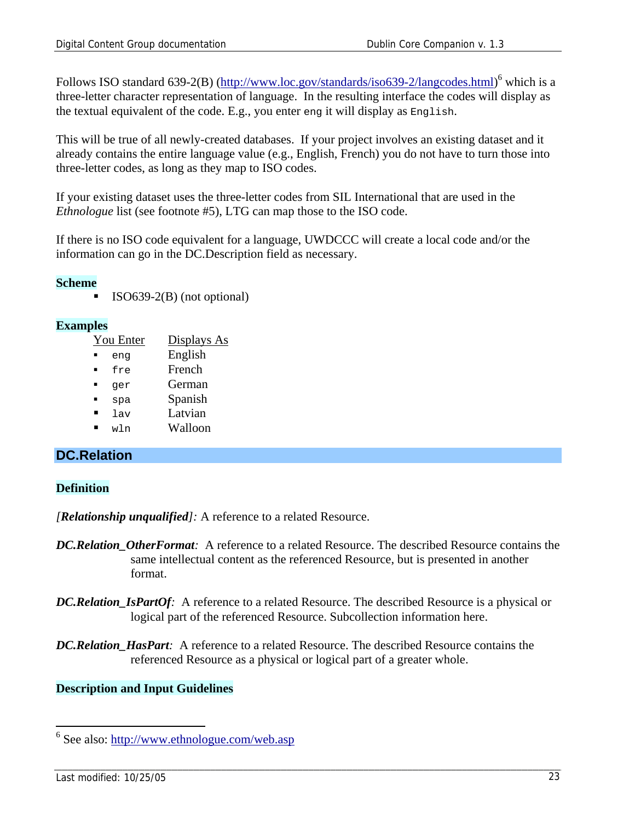Follows ISO standard 639-2(B) (http://www.loc.gov/standards/iso639-2/langcodes.html)<sup>6</sup> which is a three-letter character representation of language. In the resulting interface the codes will display as the textual equivalent of the code. E.g., you enter eng it will display as English.

This will be true of all newly-created databases. If your project involves an existing dataset and it already contains the entire language value (e.g., English, French) you do not have to turn those into three-letter codes, as long as they map to ISO codes.

If your existing dataset uses the three-letter codes from SIL International that are used in the *Ethnologue* list (see footnote #5), LTG can map those to the ISO code.

If there is no ISO code equivalent for a language, UWDCCC will create a local code and/or the information can go in the DC.Description field as necessary.

#### **Scheme**

ISO639-2(B) (not optional)

#### **Examples**

| You Enter | Displays As |
|-----------|-------------|
| enq       | English     |
| fre       | French      |
| qer       | German      |
| spa       | Spanish     |
| 1av       | Latvian     |
| wln       | Walloon     |
|           |             |

### **DC.Relation**

#### **Definition**

*[Relationship unqualified]:* A reference to a related Resource.

- *DC.Relation\_OtherFormat:* A reference to a related Resource. The described Resource contains the same intellectual content as the referenced Resource, but is presented in another format.
- *DC.Relation\_IsPartOf:* A reference to a related Resource. The described Resource is a physical or logical part of the referenced Resource. Subcollection information here.
- *DC.Relation\_HasPart:* A reference to a related Resource. The described Resource contains the referenced Resource as a physical or logical part of a greater whole.

#### **Description and Input Guidelines**

<sup>&</sup>lt;sup>6</sup> See also: http://www.ethnologue.com/web.asp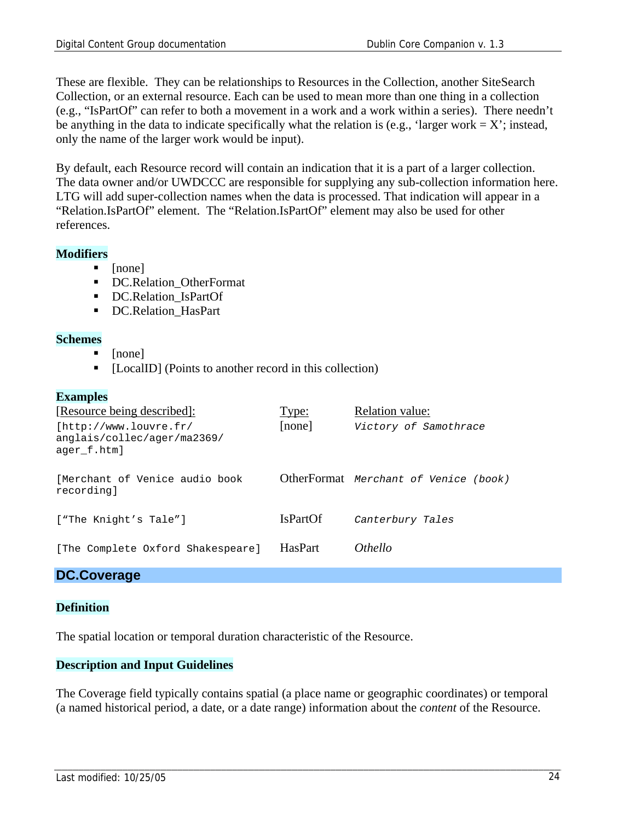These are flexible. They can be relationships to Resources in the Collection, another SiteSearch Collection, or an external resource. Each can be used to mean more than one thing in a collection (e.g., "IsPartOf" can refer to both a movement in a work and a work within a series). There needn't be anything in the data to indicate specifically what the relation is (e.g., 'larger work =  $X$ '; instead, only the name of the larger work would be input).

By default, each Resource record will contain an indication that it is a part of a larger collection. The data owner and/or UWDCCC are responsible for supplying any sub-collection information here. LTG will add super-collection names when the data is processed. That indication will appear in a "Relation.IsPartOf" element. The "Relation.IsPartOf" element may also be used for other references.

#### **Modifiers**

- [none]
- DC.Relation\_OtherFormat
- **DC.Relation\_IsPartOf**
- DC.Relation HasPart

#### **Schemes**

- [none]
- [LocalID] (Points to another record in this collection)

#### **Examples**

| [Resource being described]:                                          | Type:           | <b>Relation value:</b>                |
|----------------------------------------------------------------------|-----------------|---------------------------------------|
| [http://www.louvre.fr/<br>anglais/collec/ager/ma2369/<br>ager f.htm] | [none]          | Victory of Samothrace                 |
| [Merchant of Venice audio book<br>recording]                         |                 | OtherFormat Merchant of Venice (book) |
| ["The Knight's Tale"]                                                | <b>IsPartOf</b> | Canterbury Tales                      |
| [The Complete Oxford Shakespeare]                                    | <b>HasPart</b>  | <i>Othello</i>                        |

#### **DC.Coverage**

#### **Definition**

The spatial location or temporal duration characteristic of the Resource.

#### **Description and Input Guidelines**

The Coverage field typically contains spatial (a place name or geographic coordinates) or temporal (a named historical period, a date, or a date range) information about the *content* of the Resource.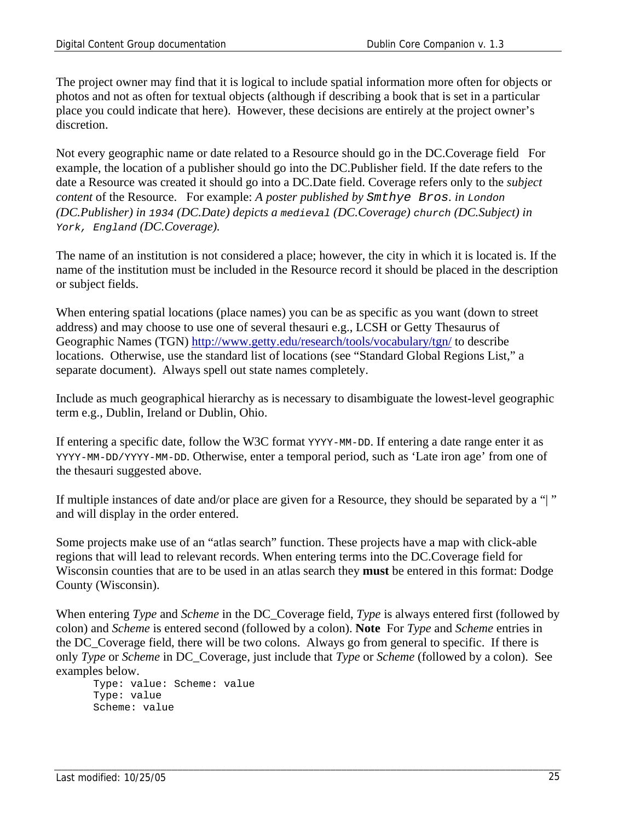The project owner may find that it is logical to include spatial information more often for objects or photos and not as often for textual objects (although if describing a book that is set in a particular place you could indicate that here). However, these decisions are entirely at the project owner's discretion.

Not every geographic name or date related to a Resource should go in the DC.Coverage field For example, the location of a publisher should go into the DC.Publisher field. If the date refers to the date a Resource was created it should go into a DC.Date field. Coverage refers only to the *subject content* of the Resource. For example: *A poster published by Smthye Bros. in London (DC.Publisher) in 1934 (DC.Date) depicts a medieval (DC.Coverage) church (DC.Subject) in York, England (DC.Coverage).* 

The name of an institution is not considered a place; however, the city in which it is located is. If the name of the institution must be included in the Resource record it should be placed in the description or subject fields.

When entering spatial locations (place names) you can be as specific as you want (down to street address) and may choose to use one of several thesauri e.g., LCSH or Getty Thesaurus of Geographic Names (TGN) http://www.getty.edu/research/tools/vocabulary/tgn/ to describe locations. Otherwise, use the standard list of locations (see "Standard Global Regions List," a separate document). Always spell out state names completely.

Include as much geographical hierarchy as is necessary to disambiguate the lowest-level geographic term e.g., Dublin, Ireland or Dublin, Ohio.

If entering a specific date, follow the W3C format YYYY-MM-DD. If entering a date range enter it as YYYY-MM-DD/YYYY-MM-DD. Otherwise, enter a temporal period, such as 'Late iron age' from one of the thesauri suggested above.

If multiple instances of date and/or place are given for a Resource, they should be separated by a "| " and will display in the order entered.

Some projects make use of an "atlas search" function. These projects have a map with click-able regions that will lead to relevant records. When entering terms into the DC.Coverage field for Wisconsin counties that are to be used in an atlas search they **must** be entered in this format: Dodge County (Wisconsin).

When entering *Type* and *Scheme* in the DC\_Coverage field, *Type* is always entered first (followed by colon) and *Scheme* is entered second (followed by a colon). **Note** For *Type* and *Scheme* entries in the DC\_Coverage field, there will be two colons. Always go from general to specific. If there is only *Type* or *Scheme* in DC\_Coverage, just include that *Type* or *Scheme* (followed by a colon). See examples below.

Type: value: Scheme: value Type: value Scheme: value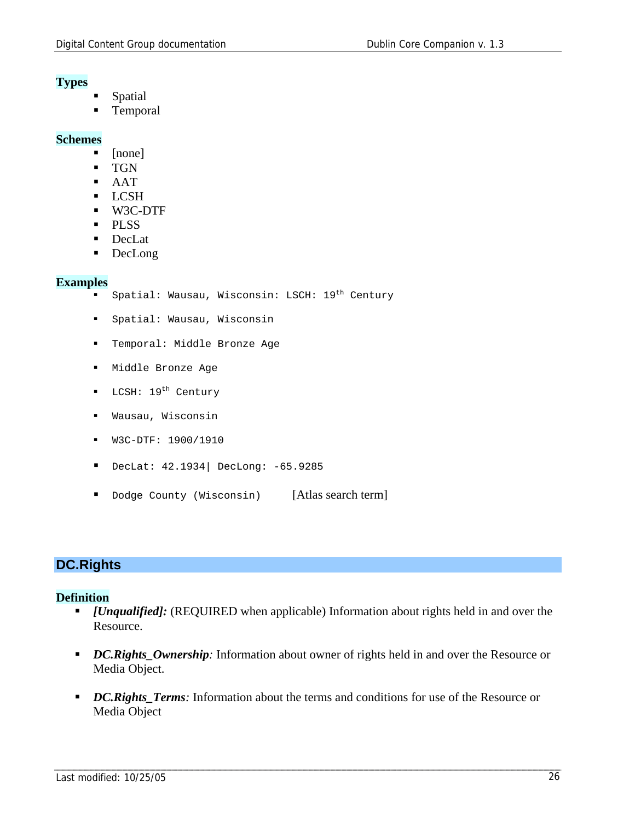#### **Types**

- Spatial
- Temporal

#### **Schemes**

- [none]
- TGN
- AAT
- **LCSH**
- W3C-DTF
- · PLSS
- **DecLat**
- DecLong

#### **Examples**

- Spatial: Wausau, Wisconsin: LSCH: 19<sup>th</sup> Century
- Spatial: Wausau, Wisconsin
- Temporal: Middle Bronze Age
- Middle Bronze Age
- LCSH: 19<sup>th</sup> Century
- Wausau, Wisconsin
- W3C-DTF: 1900/1910
- DecLat: 42.1934| DecLong: -65.9285
- Dodge County (Wisconsin) [Atlas search term]

### **DC.Rights**

#### **Definition**

- *[Unqualified]:* (REQUIRED when applicable) Information about rights held in and over the Resource.
- **DC. Rights\_Ownership**: Information about owner of rights held in and over the Resource or Media Object.
- *DC.Rights Terms*: Information about the terms and conditions for use of the Resource or Media Object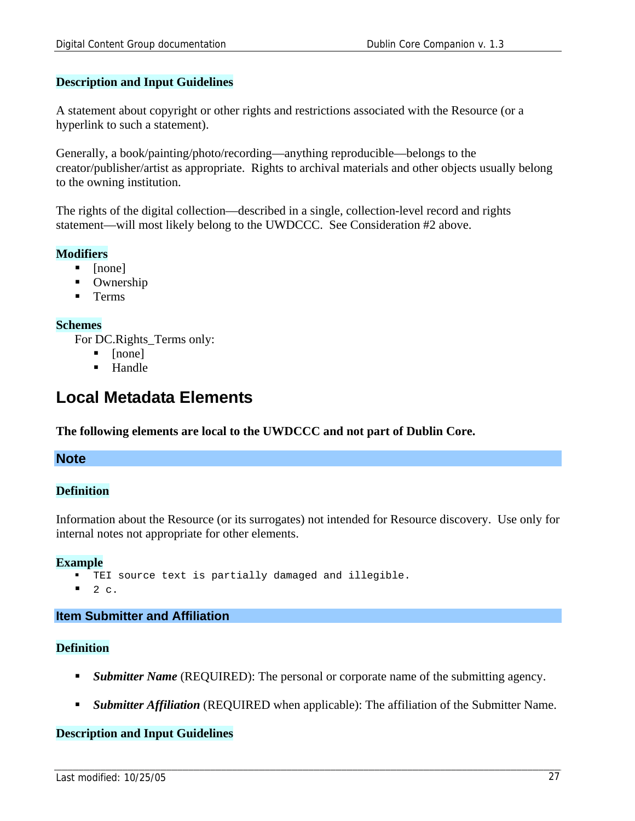#### **Description and Input Guidelines**

A statement about copyright or other rights and restrictions associated with the Resource (or a hyperlink to such a statement).

Generally, a book/painting/photo/recording—anything reproducible—belongs to the creator/publisher/artist as appropriate. Rights to archival materials and other objects usually belong to the owning institution.

The rights of the digital collection—described in a single, collection-level record and rights statement—will most likely belong to the UWDCCC. See Consideration #2 above.

#### **Modifiers**

- $\blacksquare$  [none]
- Ownership
- Terms

#### **Schemes**

For DC.Rights\_Terms only:

- $\blacksquare$  [none]
- **Handle**

### **Local Metadata Elements**

**The following elements are local to the UWDCCC and not part of Dublin Core.** 

#### **Note**

#### **Definition**

Information about the Resource (or its surrogates) not intended for Resource discovery. Use only for internal notes not appropriate for other elements.

#### **Example**

- TEI source text is partially damaged and illegible.
- 2  $c<sub>1</sub>$

### **Item Submitter and Affiliation**

#### **Definition**

- *Submitter Name* (REQUIRED): The personal or corporate name of the submitting agency.
- *Submitter Affiliation* (REQUIRED when applicable): The affiliation of the Submitter Name.

#### **Description and Input Guidelines**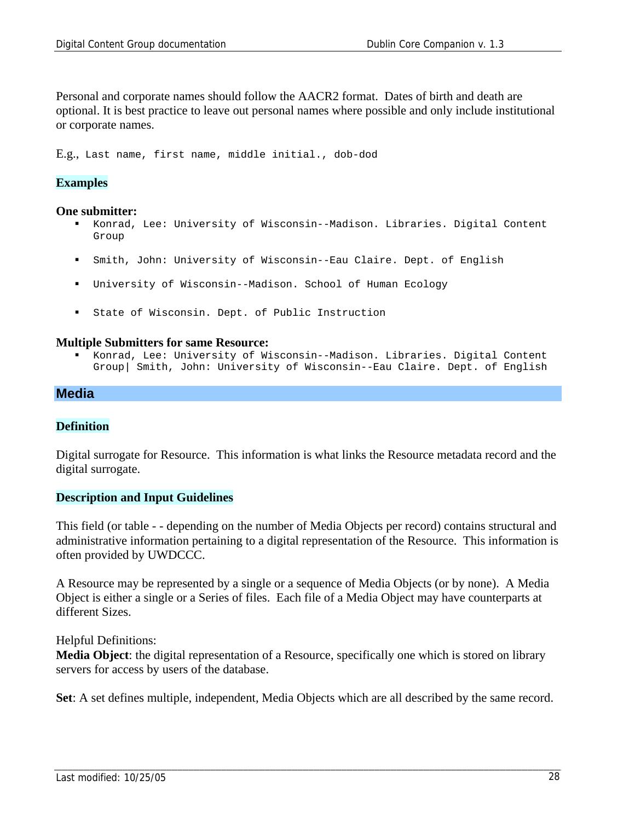Personal and corporate names should follow the AACR2 format. Dates of birth and death are optional. It is best practice to leave out personal names where possible and only include institutional or corporate names.

E.g., Last name, first name, middle initial., dob-dod

#### **Examples**

#### **One submitter:**

- Konrad, Lee: University of Wisconsin--Madison. Libraries. Digital Content Group
- Smith, John: University of Wisconsin--Eau Claire. Dept. of English
- University of Wisconsin--Madison. School of Human Ecology
- State of Wisconsin. Dept. of Public Instruction

#### **Multiple Submitters for same Resource:**

 Konrad, Lee: University of Wisconsin--Madison. Libraries. Digital Content Group| Smith, John: University of Wisconsin--Eau Claire. Dept. of English

#### **Media**

#### **Definition**

Digital surrogate for Resource. This information is what links the Resource metadata record and the digital surrogate.

#### **Description and Input Guidelines**

This field (or table - - depending on the number of Media Objects per record) contains structural and administrative information pertaining to a digital representation of the Resource. This information is often provided by UWDCCC.

A Resource may be represented by a single or a sequence of Media Objects (or by none). A Media Object is either a single or a Series of files. Each file of a Media Object may have counterparts at different Sizes.

Helpful Definitions:

**Media Object**: the digital representation of a Resource, specifically one which is stored on library servers for access by users of the database.

**Set**: A set defines multiple, independent, Media Objects which are all described by the same record.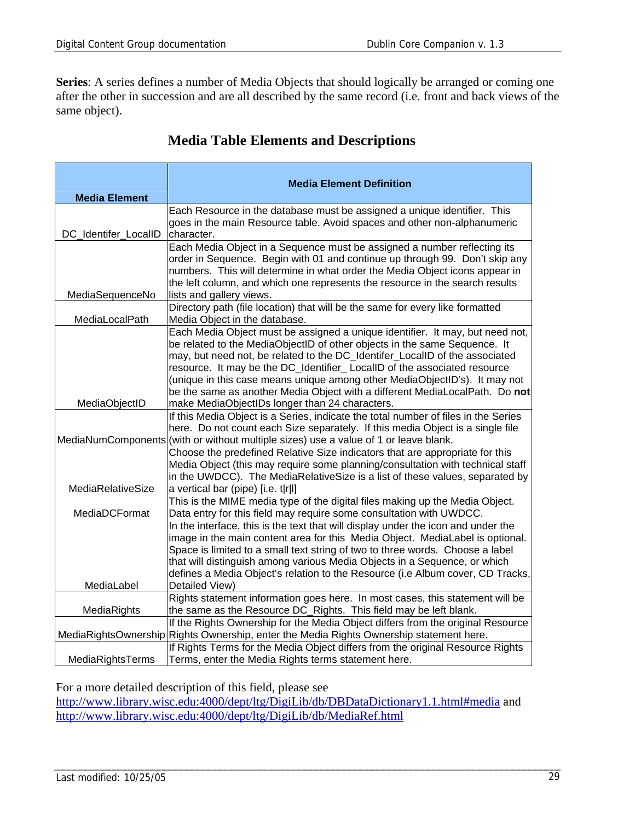Series: A series defines a number of Media Objects that should logically be arranged or coming one after the other in succession and are all described by the same record (i.e. front and back views of the same object).

|                      | <b>Media Element Definition</b>                                                                                                                                      |
|----------------------|----------------------------------------------------------------------------------------------------------------------------------------------------------------------|
| <b>Media Element</b> |                                                                                                                                                                      |
|                      | Each Resource in the database must be assigned a unique identifier. This                                                                                             |
| DC Identifer LocalID | goes in the main Resource table. Avoid spaces and other non-alphanumeric<br>character.                                                                               |
|                      | Each Media Object in a Sequence must be assigned a number reflecting its                                                                                             |
|                      | order in Sequence. Begin with 01 and continue up through 99. Don't skip any                                                                                          |
|                      | numbers. This will determine in what order the Media Object icons appear in                                                                                          |
|                      | the left column, and which one represents the resource in the search results                                                                                         |
| MediaSequenceNo      | lists and gallery views.                                                                                                                                             |
|                      | Directory path (file location) that will be the same for every like formatted                                                                                        |
| MediaLocalPath       | Media Object in the database.                                                                                                                                        |
|                      | Each Media Object must be assigned a unique identifier. It may, but need not,                                                                                        |
|                      | be related to the MediaObjectID of other objects in the same Sequence. It                                                                                            |
|                      | may, but need not, be related to the DC_Identifer_LocalID of the associated                                                                                          |
|                      | resource. It may be the DC_Identifier_LocalID of the associated resource                                                                                             |
|                      | (unique in this case means unique among other MediaObjectID's). It may not                                                                                           |
|                      | be the same as another Media Object with a different MediaLocalPath. Do not                                                                                          |
| MediaObjectID        | make MediaObjectIDs longer than 24 characters.                                                                                                                       |
|                      | If this Media Object is a Series, indicate the total number of files in the Series<br>here. Do not count each Size separately. If this media Object is a single file |
|                      | MediaNumComponents (with or without multiple sizes) use a value of 1 or leave blank.                                                                                 |
|                      | Choose the predefined Relative Size indicators that are appropriate for this                                                                                         |
|                      | Media Object (this may require some planning/consultation with technical staff                                                                                       |
|                      | in the UWDCC). The MediaRelativeSize is a list of these values, separated by                                                                                         |
| MediaRelativeSize    | a vertical bar (pipe) $[i.e. t r]$                                                                                                                                   |
|                      | This is the MIME media type of the digital files making up the Media Object.                                                                                         |
| MediaDCFormat        | Data entry for this field may require some consultation with UWDCC.                                                                                                  |
|                      | In the interface, this is the text that will display under the icon and under the                                                                                    |
|                      | image in the main content area for this Media Object. MediaLabel is optional.                                                                                        |
|                      | Space is limited to a small text string of two to three words. Choose a label                                                                                        |
|                      | that will distinguish among various Media Objects in a Sequence, or which                                                                                            |
|                      | defines a Media Object's relation to the Resource (i.e Album cover, CD Tracks,                                                                                       |
| MediaLabel           | Detailed View)                                                                                                                                                       |
|                      | Rights statement information goes here. In most cases, this statement will be                                                                                        |
| MediaRights          | the same as the Resource DC_Rights. This field may be left blank.<br>If the Rights Ownership for the Media Object differs from the original Resource                 |
|                      | MediaRightsOwnership Rights Ownership, enter the Media Rights Ownership statement here.                                                                              |
|                      | If Rights Terms for the Media Object differs from the original Resource Rights                                                                                       |
| MediaRightsTerms     | Terms, enter the Media Rights terms statement here.                                                                                                                  |

### **Media Table Elements and Descriptions**

For a more detailed description of this field, please see

http://www.library.wisc.edu:4000/dept/ltg/DigiLib/db/DBDataDictionary1.1.html#media and http://www.library.wisc.edu:4000/dept/ltg/DigiLib/db/MediaRef.html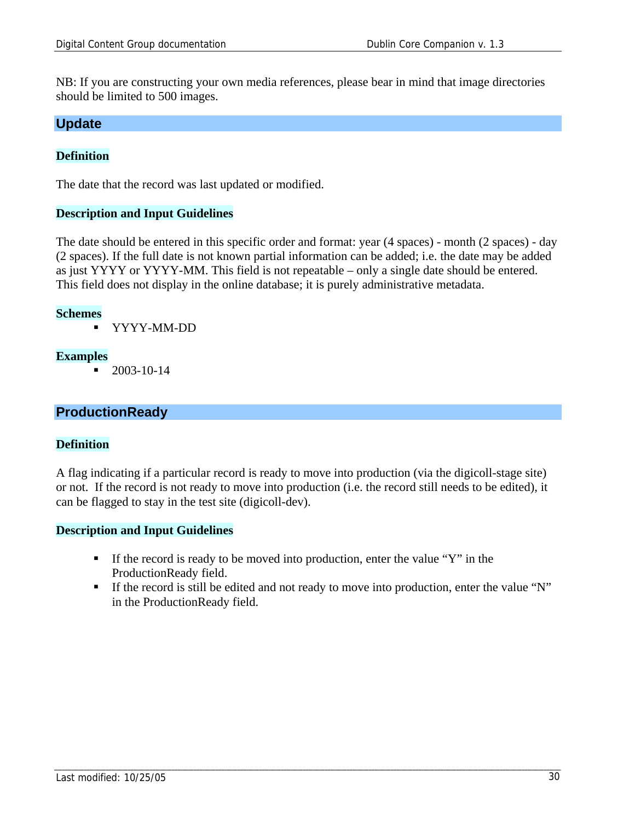NB: If you are constructing your own media references, please bear in mind that image directories should be limited to 500 images.

#### **Update**

#### **Definition**

The date that the record was last updated or modified.

#### **Description and Input Guidelines**

The date should be entered in this specific order and format: year (4 spaces) - month (2 spaces) - day (2 spaces). If the full date is not known partial information can be added; i.e. the date may be added as just YYYY or YYYY-MM. This field is not repeatable – only a single date should be entered. This field does not display in the online database; it is purely administrative metadata.

#### **Schemes**

YYYY-MM-DD

#### **Examples**

 $-2003-10-14$ 

#### **ProductionReady**

#### **Definition**

A flag indicating if a particular record is ready to move into production (via the digicoll-stage site) or not. If the record is not ready to move into production (i.e. the record still needs to be edited), it can be flagged to stay in the test site (digicoll-dev).

#### **Description and Input Guidelines**

- If the record is ready to be moved into production, enter the value "Y" in the ProductionReady field.
- If the record is still be edited and not ready to move into production, enter the value "N" in the ProductionReady field.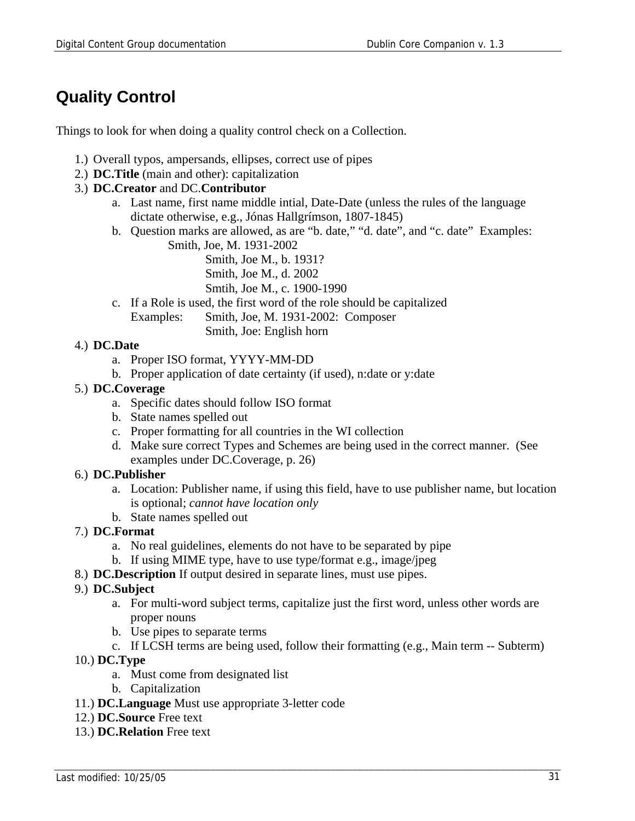## **Quality Control**

Things to look for when doing a quality control check on a Collection.

- 1.) Overall typos, ampersands, ellipses, correct use of pipes
- 2.) **DC.Title** (main and other): capitalization

#### 3.) **DC.Creator** and DC.**Contributor**

- a. Last name, first name middle intial, Date-Date (unless the rules of the language dictate otherwise, e.g., Jónas Hallgrímson, 1807-1845)
- b. Question marks are allowed, as are "b. date," "d. date", and "c. date" Examples: Smith, Joe, M. 1931-2002
	- Smith, Joe M., b. 1931?
	- Smith, Joe M., d. 2002
	- Smtih, Joe M., c. 1900-1990
- c. If a Role is used, the first word of the role should be capitalized Examples: Smith, Joe, M. 1931-2002: Composer Smith, Joe: English horn

#### 4.) **DC.Date**

- a. Proper ISO format, YYYY-MM-DD
- b. Proper application of date certainty (if used), n:date or y:date

#### 5.) **DC.Coverage**

- a. Specific dates should follow ISO format
- b. State names spelled out
- c. Proper formatting for all countries in the WI collection
- d. Make sure correct Types and Schemes are being used in the correct manner. (See examples under DC.Coverage, p. 26)

#### 6.) **DC.Publisher**

- a. Location: Publisher name, if using this field, have to use publisher name, but location is optional; *cannot have location only*
- b. State names spelled out

#### 7.) **DC.Format**

- a. No real guidelines, elements do not have to be separated by pipe
- b. If using MIME type, have to use type/format e.g., image/jpeg
- 8.) **DC.Description** If output desired in separate lines, must use pipes.

#### 9.) **DC.Subject**

- a. For multi-word subject terms, capitalize just the first word, unless other words are proper nouns
- b. Use pipes to separate terms
- c. If LCSH terms are being used, follow their formatting (e.g., Main term -- Subterm)
- 10.) **DC.Type**
	- a. Must come from designated list
	- b. Capitalization
- 11.) **DC.Language** Must use appropriate 3-letter code
- 12.) **DC.Source** Free text
- 13.) **DC.Relation** Free text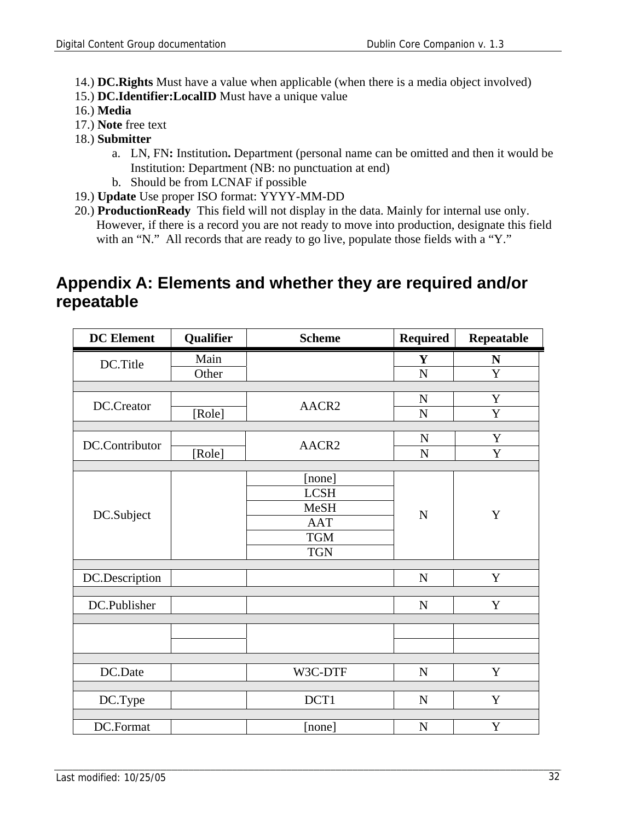- 14.) **DC.Rights** Must have a value when applicable (when there is a media object involved)
- 15.) **DC.Identifier:LocalID** Must have a unique value
- 16.) **Media**
- 17.) **Note** free text
- 18.) **Submitter**
	- a. LN, FN**:** Institution**.** Department (personal name can be omitted and then it would be Institution: Department (NB: no punctuation at end)
	- b. Should be from LCNAF if possible
- 19.) **Update** Use proper ISO format: YYYY-MM-DD
- 20.) **ProductionReady** This field will not display in the data. Mainly for internal use only. However, if there is a record you are not ready to move into production, designate this field with an "N." All records that are ready to go live, populate those fields with a "Y."

### **Appendix A: Elements and whether they are required and/or repeatable**

| <b>DC</b> Element | Qualifier | <b>Scheme</b>     | <b>Required</b> | Repeatable     |
|-------------------|-----------|-------------------|-----------------|----------------|
| DC.Title          | Main      |                   | Y               | ${\bf N}$      |
|                   | Other     |                   | ${\bf N}$       | Y              |
|                   |           |                   |                 |                |
| DC.Creator        |           | AACR2             | $\mathbf N$     | $\mathbf Y$    |
|                   | [Role]    |                   | $\mathbf N$     | Y              |
|                   |           |                   |                 |                |
| DC.Contributor    |           | AACR <sub>2</sub> | ${\bf N}$       | $\mathbf Y$    |
|                   | [Role]    |                   | ${\bf N}$       | $\overline{Y}$ |
|                   |           | [none]            |                 |                |
|                   |           | <b>LCSH</b>       |                 | $\mathbf Y$    |
|                   |           | <b>MeSH</b>       |                 |                |
| DC.Subject        |           | <b>AAT</b>        | $\mathbf N$     |                |
|                   |           | <b>TGM</b>        |                 |                |
|                   |           |                   |                 |                |
|                   |           | <b>TGN</b>        |                 |                |
| DC.Description    |           |                   | ${\bf N}$       | $\mathbf Y$    |
|                   |           |                   |                 |                |
| DC.Publisher      |           |                   | ${\bf N}$       | $\mathbf Y$    |
|                   |           |                   |                 |                |
|                   |           |                   |                 |                |
|                   |           |                   |                 |                |
|                   |           |                   |                 |                |
| DC.Date           |           | W3C-DTF           | $\mathbf N$     | Y              |
|                   |           | DCT1              | $\mathbf N$     | Y              |
| DC.Type           |           |                   |                 |                |
| DC.Format         |           | [none]            | ${\bf N}$       | Y              |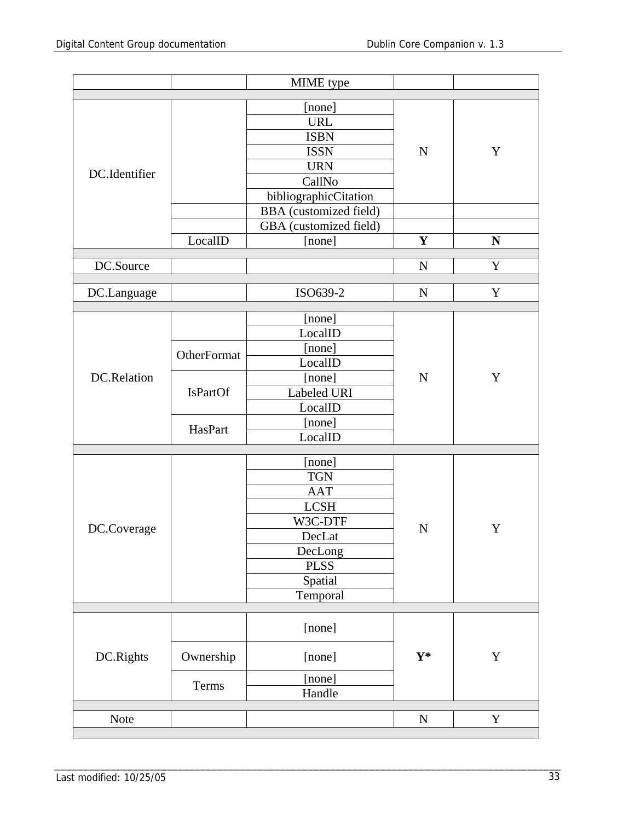|               |                 | MIME type                     |                |             |
|---------------|-----------------|-------------------------------|----------------|-------------|
|               |                 | [none]                        |                |             |
|               |                 | <b>URL</b>                    |                |             |
|               |                 | <b>ISBN</b>                   |                |             |
|               |                 | <b>ISSN</b>                   | $\mathbf N$    | Y           |
|               |                 | <b>URN</b>                    |                |             |
| DC.Identifier |                 | CallNo                        |                |             |
|               |                 | bibliographicCitation         |                |             |
|               |                 | <b>BBA</b> (customized field) |                |             |
|               |                 | GBA (customized field)        |                |             |
|               | LocalID         | [none]                        | $\mathbf{Y}$   | N           |
| DC.Source     |                 |                               | $\mathbf N$    | $\mathbf Y$ |
|               |                 |                               |                |             |
| DC.Language   |                 | ISO639-2                      | $\mathbf N$    | Y           |
|               |                 | [none]                        |                |             |
|               |                 | LocalID                       |                |             |
|               |                 | [none]                        |                |             |
|               | OtherFormat     | LocalID                       |                | Y           |
| DC.Relation   |                 | [none]                        | $\mathbf N$    |             |
|               | <b>IsPartOf</b> | Labeled URI                   |                |             |
|               |                 | LocalID                       |                |             |
|               |                 | [none]                        |                |             |
|               | HasPart         | LocalID                       |                |             |
|               |                 | [none]                        |                |             |
|               |                 | <b>TGN</b>                    |                |             |
|               |                 | <b>AAT</b>                    |                |             |
|               |                 | <b>LCSH</b>                   |                |             |
|               |                 | W3C-DTF                       |                |             |
| DC.Coverage   |                 | DecLat                        | $\mathbf N$    | Y           |
|               |                 | DecLong                       |                |             |
|               |                 | <b>PLSS</b>                   |                |             |
|               |                 | Spatial                       |                |             |
|               |                 | Temporal                      |                |             |
|               |                 |                               |                |             |
|               |                 | [none]                        |                |             |
| DC.Rights     | Ownership       | [none]                        | $\mathbf{Y}^*$ | $\mathbf Y$ |
|               | Terms           | [none]                        |                |             |
|               |                 | Handle                        |                |             |
| Note          |                 |                               | ${\bf N}$      | $\mathbf Y$ |
|               |                 |                               |                |             |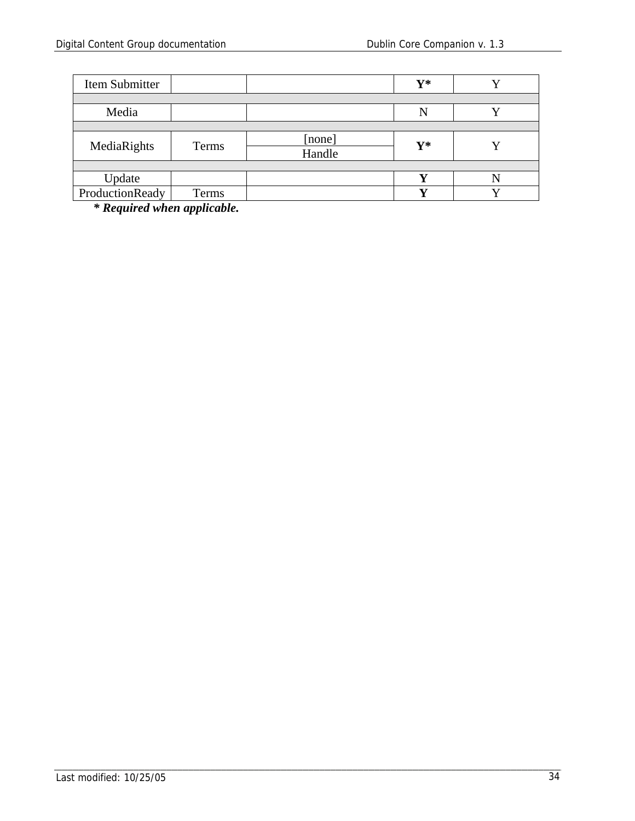| Item Submitter  |       |        | $\mathbf{Y}^*$ |  |
|-----------------|-------|--------|----------------|--|
|                 |       |        |                |  |
| Media           |       |        |                |  |
|                 |       |        |                |  |
| MediaRights     | Terms | [none] | $V^*$          |  |
|                 |       | Handle |                |  |
|                 |       |        |                |  |
| Update          |       |        | ₹7             |  |
| ProductionReady | Terms |        | ┳ ⁊            |  |

*\* Required when applicable.*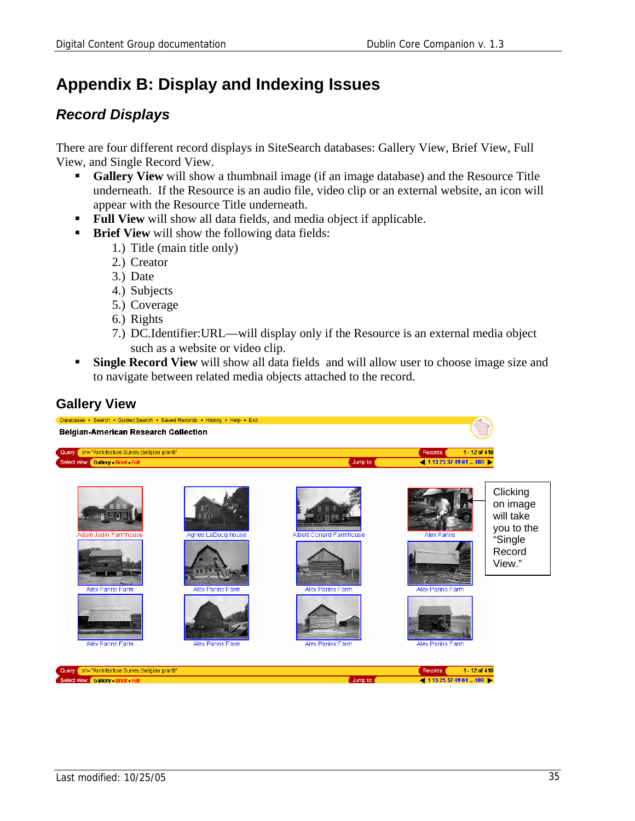## **Appendix B: Display and Indexing Issues**

### *Record Displays*

There are four different record displays in SiteSearch databases: Gallery View, Brief View, Full View, and Single Record View.

- **Gallery View** will show a thumbnail image (if an image database) and the Resource Title underneath. If the Resource is an audio file, video clip or an external website, an icon will appear with the Resource Title underneath.
- **Full View** will show all data fields, and media object if applicable.
- **Brief View** will show the following data fields:
	- 1.) Title (main title only)
	- 2.) Creator
	- 3.) Date
	- 4.) Subjects
	- 5.) Coverage
	- 6.) Rights
	- 7.) DC.Identifier:URL—will display only if the Resource is an external media object such as a website or video clip.
- **Single Record View** will show all data fields and will allow user to choose image size and to navigate between related media objects attached to the record.

### **Gallery View**

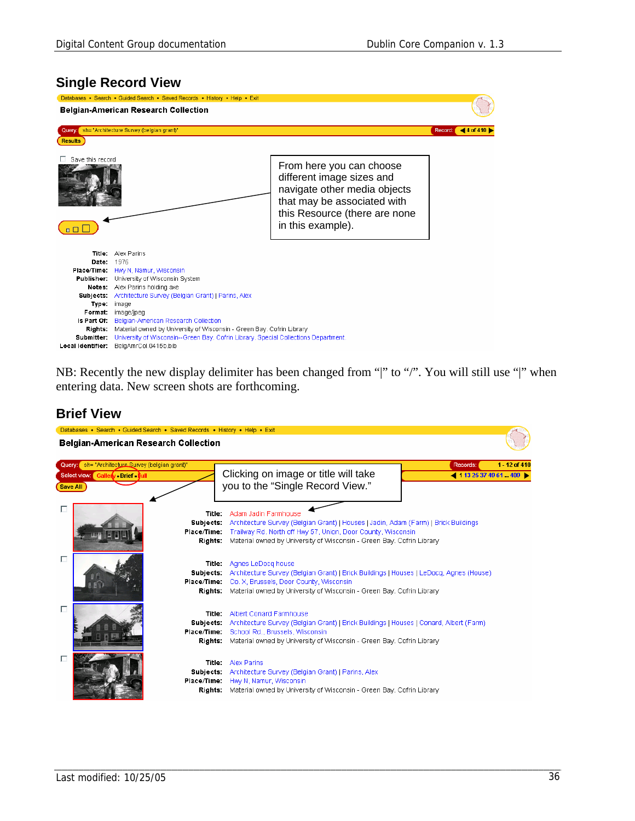#### **Single Record View**



NB: Recently the new display delimiter has been changed from "|" to "/". You will still use "|" when entering data. New screen shots are forthcoming.

#### **Brief View**

| Databases • Search • Guided Search • Saved Records • History • Help • Exit<br><b>Belgian-American Research Collection</b> |                                               |                                                                                                                                                                                                                                                      |                             |               |
|---------------------------------------------------------------------------------------------------------------------------|-----------------------------------------------|------------------------------------------------------------------------------------------------------------------------------------------------------------------------------------------------------------------------------------------------------|-----------------------------|---------------|
| Query: sh= "Architecture Survey (belgian grant)"<br>Select view: Gallery Brief Dull<br><b>Save All</b>                    |                                               | Clicking on image or title will take<br>you to the "Single Record View."                                                                                                                                                                             | Records:<br>411325374961409 | 1 - 12 of 410 |
| п                                                                                                                         | Title:<br>Subjects:<br>Place/Time:<br>Rights: | Adam Jadin Farmhouse<br>Architecture Survey (Belgian Grant)   Houses   Jadin, Adam (Farm)   Brick Buildings<br>Trailway Rd. North off Hwy 57, Union, Door County, Wisconsin<br>Material owned by University of Wisconsin - Green Bay, Cofrin Library |                             |               |
| п                                                                                                                         | Subjects:<br>Place/Time:<br>Rights:           | <b>Title:</b> Agnes LeDocq house<br>Architecture Survey (Belgian Grant)   Brick Buildings   Houses   LeDocq, Agnes (House)<br>Co. X, Brussels, Door County, Wisconsin<br>Material owned by University of Wisconsin - Green Bay, Cofrin Library       |                             |               |
| п                                                                                                                         | Title:<br>Subjects:<br>Place/Time:<br>Rights: | Albert Conard Farmhouse<br>Architecture Survey (Belgian Grant)   Brick Buildings   Houses   Conard, Albert (Farm)<br>School Rd., Brussels, Wisconsin<br>Material owned by University of Wisconsin - Green Bay, Cofrin Library                        |                             |               |
|                                                                                                                           | Subjects:<br>Place/Time:<br>Rights:           | <b>Title:</b> Alex Parins<br>Architecture Survey (Belgian Grant)   Parins, Alex<br>Hwy N, Namur, Wisconsin<br>Material owned by University of Wisconsin - Green Bay, Cofrin Library                                                                  |                             |               |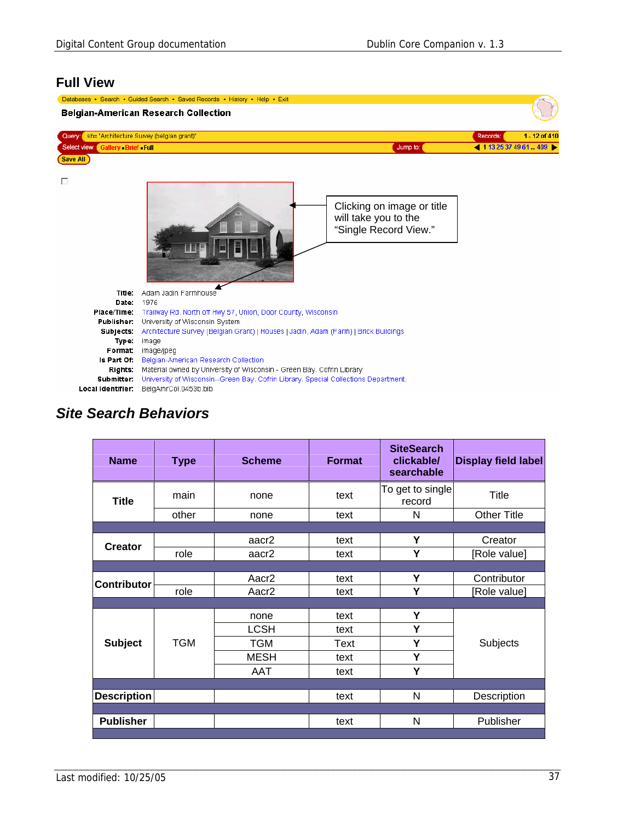### **Full View**

|                                             | Databases • Search • Guided Search • Saved Records • History • Help • Exit<br><b>Belgian-American Research Collection</b> |                                                                             |          |                 |
|---------------------------------------------|---------------------------------------------------------------------------------------------------------------------------|-----------------------------------------------------------------------------|----------|-----------------|
|                                             | Query: sh= "Architecture Survey (belgian grant)"                                                                          |                                                                             | Records: | 1 - 12 of 410   |
| Select view: Gallery Brief Full<br>Save All |                                                                                                                           | Jump to:                                                                    |          | 411325374961409 |
| п                                           |                                                                                                                           | Clicking on image or title<br>will take you to the<br>"Single Record View." |          |                 |
| Title:<br>Date:                             | Adam Jadin Farmhouse<br>1976                                                                                              |                                                                             |          |                 |
| Place/Time:<br><b>Publisher:</b>            | Trailway Rd. North off Hwy 57, Union, Door County, Wisconsin<br>University of Wisconsin System                            |                                                                             |          |                 |
| Subjects:                                   | Architecture Survey (Belgian Grant)   Houses   Jadin, Adam (Farm)   Brick Buildings                                       |                                                                             |          |                 |
| Type:                                       | image                                                                                                                     |                                                                             |          |                 |
| Format:<br>Is Part Of:                      | image/jpeg<br>Belgian-American Research Collection                                                                        |                                                                             |          |                 |
| Rights:                                     | Material owned by University of Wisconsin - Green Bay, Cofrin Library                                                     |                                                                             |          |                 |
| Submitter:                                  | University of Wisconsin--Green Bay, Cofrin Library, Special Collections Department.                                       |                                                                             |          |                 |
| Local Identifier:                           | BelgAmrCol.0453b.bib                                                                                                      |                                                                             |          |                 |

# *Site Search Behaviors*

| <b>Name</b>        | <b>Type</b> | <b>Scheme</b>     | <b>Format</b> | <b>SiteSearch</b><br>clickable/<br>searchable | <b>Display field label</b> |
|--------------------|-------------|-------------------|---------------|-----------------------------------------------|----------------------------|
| <b>Title</b>       | main        | none              | text          | To get to single<br>record                    | <b>Title</b>               |
|                    | other       | none              | text          | N                                             | <b>Other Title</b>         |
|                    |             |                   |               |                                               |                            |
| <b>Creator</b>     |             | aacr <sub>2</sub> | text          | Υ                                             | Creator                    |
|                    | role        | aacr <sub>2</sub> | text          | Y                                             | [Role value]               |
|                    |             |                   |               |                                               |                            |
| <b>Contributor</b> |             | Aacr <sub>2</sub> | text          | Y                                             | Contributor                |
|                    | role        | Aacr <sub>2</sub> | text          | Y                                             | [Role value]               |
|                    |             |                   |               |                                               |                            |
|                    |             | none              | text          | Y                                             |                            |
|                    |             | LCSH              | text          | Υ                                             |                            |
| <b>Subject</b>     | <b>TGM</b>  | <b>TGM</b>        | Text          | Υ                                             | Subjects                   |
|                    |             | MESH              | text          | Υ                                             |                            |
|                    |             | AAT               | text          | Y                                             |                            |
|                    |             |                   |               |                                               |                            |
| <b>Description</b> |             |                   | text          | N                                             | Description                |
|                    |             |                   |               |                                               |                            |
| <b>Publisher</b>   |             |                   | text          | N                                             | Publisher                  |
|                    |             |                   |               |                                               |                            |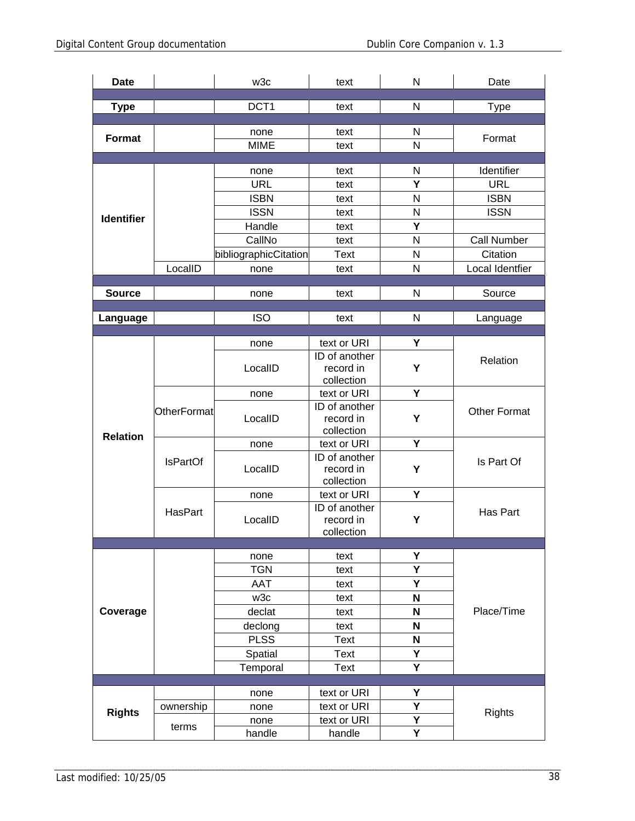| <b>Date</b>                           |                 | w3c                     | text                      | N                       | Date               |
|---------------------------------------|-----------------|-------------------------|---------------------------|-------------------------|--------------------|
| <b>Type</b>                           |                 | DCT <sub>1</sub>        | text                      | N                       | <b>Type</b>        |
|                                       |                 |                         |                           |                         |                    |
| Format                                |                 | none                    | text                      | N                       | Format             |
|                                       |                 | <b>MIME</b>             | text                      | N                       |                    |
|                                       |                 |                         |                           |                         |                    |
|                                       |                 | none                    | text                      | N                       | Identifier         |
|                                       |                 | <b>URL</b>              | text                      | Ý                       | <b>URL</b>         |
|                                       |                 | <b>ISBN</b>             | text                      | N                       | <b>ISBN</b>        |
| <b>Identifier</b>                     |                 | <b>ISSN</b>             | text                      | N                       | <b>ISSN</b>        |
|                                       |                 | Handle                  | text                      | Y                       |                    |
|                                       |                 | CallNo                  | text                      | N                       | <b>Call Number</b> |
|                                       |                 | bibliographicCitation   | <b>Text</b>               | N                       | Citation           |
|                                       | LocalID         | none                    | text                      | N                       | Local Identfier    |
| <b>Source</b>                         |                 | none                    | text                      | N                       | Source             |
|                                       |                 |                         |                           |                         |                    |
| Language                              |                 | <b>ISO</b>              | text                      | N                       | Language           |
|                                       |                 |                         |                           |                         |                    |
|                                       |                 | none                    | text or URI               | Υ                       |                    |
|                                       |                 |                         | ID of another             | Y                       | Relation           |
|                                       | LocalID         | record in<br>collection |                           |                         |                    |
|                                       |                 | none                    | text or URI               | Y                       |                    |
| <b>OtherFormat</b><br><b>Relation</b> |                 | ID of another           |                           | <b>Other Format</b>     |                    |
|                                       | LocalID         | record in               | Y                         |                         |                    |
|                                       |                 |                         | collection                |                         |                    |
|                                       |                 | none                    | text or URI               | Y                       |                    |
|                                       | <b>IsPartOf</b> |                         | ID of another             | Y                       | Is Part Of         |
|                                       |                 | LocalID                 | record in                 |                         |                    |
|                                       |                 | none                    | collection<br>text or URI | Y                       |                    |
|                                       |                 |                         | ID of another             |                         |                    |
|                                       | HasPart         | LocalID                 | record in                 | Υ                       | Has Part           |
|                                       |                 |                         | collection                |                         |                    |
|                                       |                 |                         |                           |                         |                    |
|                                       |                 | none                    | text                      | Υ                       |                    |
|                                       |                 | <b>TGN</b>              | text                      | Ý                       |                    |
|                                       |                 | <b>AAT</b>              | text                      | Y                       |                    |
|                                       |                 | w3c                     | text                      | N                       |                    |
| Coverage                              |                 | declat                  | text                      | $\mathbf N$             | Place/Time         |
|                                       |                 | declong                 | text                      | $\mathbf N$             |                    |
|                                       |                 | <b>PLSS</b>             | <b>Text</b>               | N                       |                    |
|                                       |                 | Spatial                 | Text                      | Υ                       |                    |
|                                       |                 | Temporal                | Text                      | $\overline{\mathsf{Y}}$ |                    |
|                                       |                 | none                    | text or URI               | Υ                       |                    |
|                                       | ownership       | none                    | text or URI               | Y                       |                    |
| <b>Rights</b>                         |                 | none                    | text or URI               | Υ                       | <b>Rights</b>      |
|                                       | terms           | handle                  | handle                    | Ÿ                       |                    |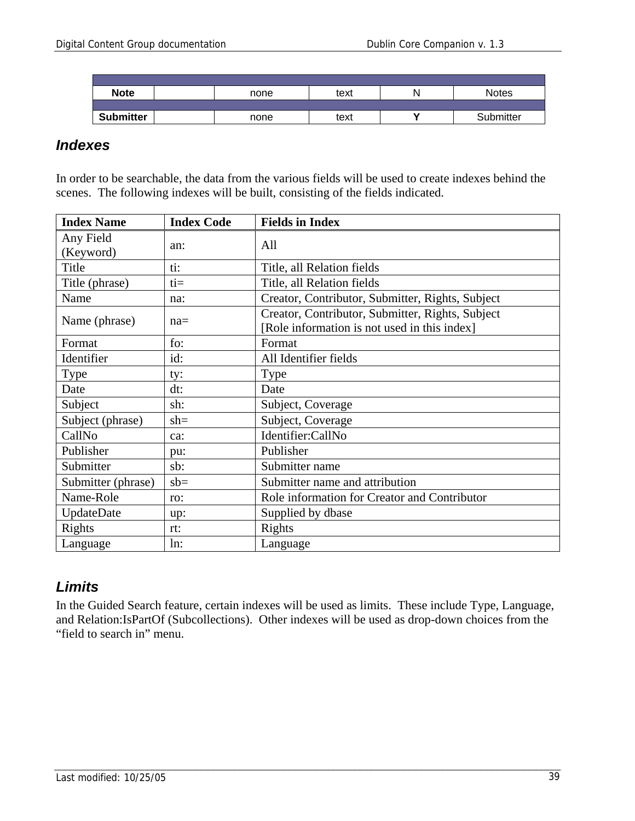| <b>Note</b>      | none | text | N | <b>Notes</b> |
|------------------|------|------|---|--------------|
|                  |      |      |   |              |
| <b>Submitter</b> | none | text |   | Submitter    |

### *Indexes*

In order to be searchable, the data from the various fields will be used to create indexes behind the scenes. The following indexes will be built, consisting of the fields indicated.

| <b>Index Name</b>      | <b>Index Code</b> | <b>Fields in Index</b>                                                                           |
|------------------------|-------------------|--------------------------------------------------------------------------------------------------|
| Any Field<br>(Keyword) | an:               | All                                                                                              |
| Title                  | ti:               | Title, all Relation fields                                                                       |
| Title (phrase)         | $t =$             | Title, all Relation fields                                                                       |
| Name                   | na:               | Creator, Contributor, Submitter, Rights, Subject                                                 |
| Name (phrase)          | $na=$             | Creator, Contributor, Submitter, Rights, Subject<br>[Role information is not used in this index] |
| Format                 | fo:               | Format                                                                                           |
| Identifier             | id:               | All Identifier fields                                                                            |
| Type                   | ty:               | Type                                                                                             |
| Date                   | dt:               | Date                                                                                             |
| Subject                | sh:               | Subject, Coverage                                                                                |
| Subject (phrase)       | $sh=$             | Subject, Coverage                                                                                |
| CallNo                 | ca:               | Identifier:CallNo                                                                                |
| Publisher              | pu:               | Publisher                                                                                        |
| Submitter              | sb:               | Submitter name                                                                                   |
| Submitter (phrase)     | $sb =$            | Submitter name and attribution                                                                   |
| Name-Role              | ro:               | Role information for Creator and Contributor                                                     |
| UpdateDate             | up:               | Supplied by dbase                                                                                |
| Rights                 | rt:               | Rights                                                                                           |
| Language               | ln:               | Language                                                                                         |

### *Limits*

In the Guided Search feature, certain indexes will be used as limits. These include Type, Language, and Relation:IsPartOf (Subcollections). Other indexes will be used as drop-down choices from the "field to search in" menu.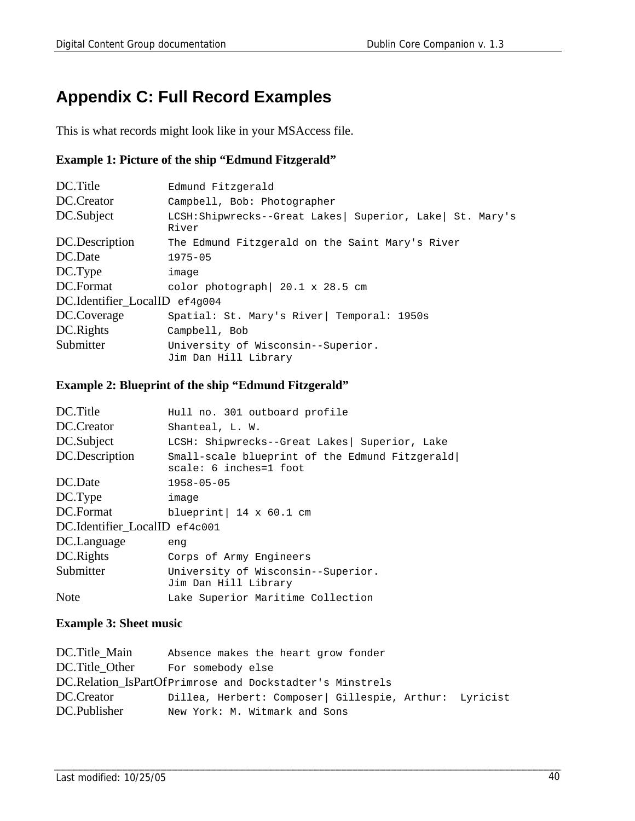## **Appendix C: Full Record Examples**

This is what records might look like in your MSAccess file.

#### **Example 1: Picture of the ship "Edmund Fitzgerald"**

| DC.Title                      | Edmund Fitzgerald                                                   |
|-------------------------------|---------------------------------------------------------------------|
| DC.Creator                    | Campbell, Bob: Photographer                                         |
| DC.Subject                    | LCSH:Shipwrecks--Great Lakes   Superior, Lake   St. Mary's<br>River |
| DC.Description                | The Edmund Fitzgerald on the Saint Mary's River                     |
| DC.Date                       | $1975 - 05$                                                         |
| DC.Type                       | image                                                               |
| DC.Format                     | color photograph $20.1 \times 28.5$ cm                              |
| DC.Identifier_LocalID ef4g004 |                                                                     |
| DC.Coverage                   | Spatial: St. Mary's River   Temporal: 1950s                         |
| DC.Rights                     | Campbell, Bob                                                       |
| Submitter                     | University of Wisconsin--Superior.<br>Jim Dan Hill Library          |

#### **Example 2: Blueprint of the ship "Edmund Fitzgerald"**

| DC.Title                      | Hull no. 301 outboard profile                                            |
|-------------------------------|--------------------------------------------------------------------------|
| DC.Creator                    | Shanteal, L. W.                                                          |
| DC.Subject                    | LCSH: Shipwrecks--Great Lakes Superior, Lake                             |
| DC.Description                | Small-scale blueprint of the Edmund Fitzgerald<br>scale: 6 inches=1 foot |
| DC.Date                       | $1958 - 05 - 05$                                                         |
| DC.Type                       | image                                                                    |
| DC.Format                     | blueprint $14 \times 60.1$ cm                                            |
| DC.Identifier LocalID ef4c001 |                                                                          |
| DC.Language                   | enq                                                                      |
| DC.Rights                     | Corps of Army Engineers                                                  |
| Submitter                     | University of Wisconsin--Superior.<br>Jim Dan Hill Library               |
| <b>Note</b>                   | Lake Superior Maritime Collection                                        |

#### **Example 3: Sheet music**

| DC.Title Main  | Absence makes the heart grow fonder                      |
|----------------|----------------------------------------------------------|
| DC.Title Other | For somebody else                                        |
|                | DC.Relation_IsPartOfPrimrose and Dockstadter's Minstrels |
| DC.Creator     | Dillea, Herbert: Composer   Gillespie, Arthur: Lyricist  |
| DC.Publisher   | New York: M. Witmark and Sons                            |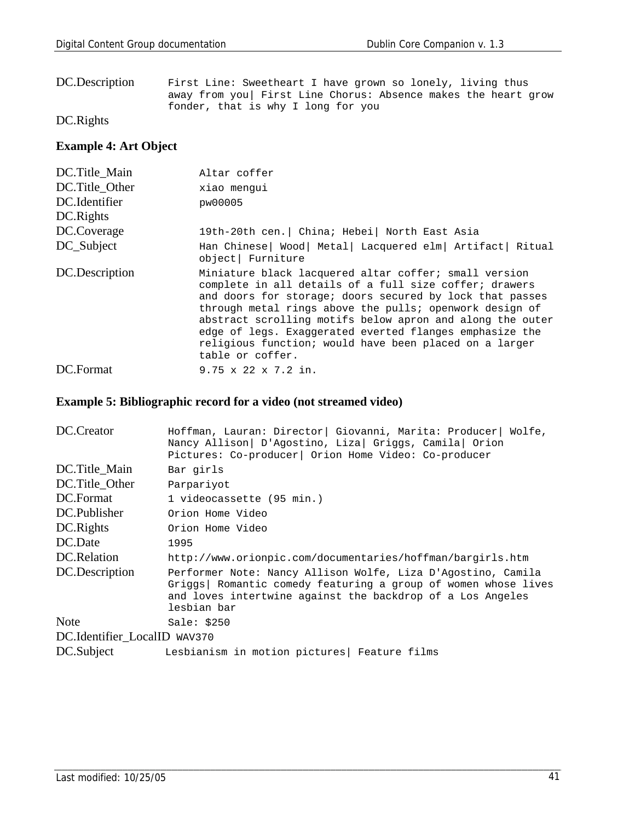| DC.Description | First Line: Sweetheart I have grown so lonely, living thus    |
|----------------|---------------------------------------------------------------|
|                | away from you First Line Chorus: Absence makes the heart grow |
|                | fonder, that is why I long for you                            |

DC.Rights

#### **Example 4: Art Object**

| DC.Title Main  | Altar coffer                                                                                                                                                                                                                                                                                                                                                                                                                                 |
|----------------|----------------------------------------------------------------------------------------------------------------------------------------------------------------------------------------------------------------------------------------------------------------------------------------------------------------------------------------------------------------------------------------------------------------------------------------------|
| DC.Title Other | xiao menqui                                                                                                                                                                                                                                                                                                                                                                                                                                  |
| DC.Identifier  | pw00005                                                                                                                                                                                                                                                                                                                                                                                                                                      |
| DC.Rights      |                                                                                                                                                                                                                                                                                                                                                                                                                                              |
| DC.Coverage    | 19th-20th cen.   China; Hebei   North East Asia                                                                                                                                                                                                                                                                                                                                                                                              |
| DC_Subject     | Han Chinese   Wood   Metal   Lacquered elm   Artifact   Ritual<br>object Furniture                                                                                                                                                                                                                                                                                                                                                           |
| DC.Description | Miniature black lacquered altar coffer; small version<br>complete in all details of a full size coffer; drawers<br>and doors for storage; doors secured by lock that passes<br>through metal rings above the pulls; openwork design of<br>abstract scrolling motifs below apron and along the outer<br>edge of legs. Exaggerated everted flanges emphasize the<br>religious function; would have been placed on a larger<br>table or coffer. |
| DC.Format      | $9.75 \times 22 \times 7.2$ in.                                                                                                                                                                                                                                                                                                                                                                                                              |

### **Example 5: Bibliographic record for a video (not streamed video)**

| DC.Creator                   | Hoffman, Lauran: Director   Giovanni, Marita: Producer   Wolfe,<br>Nancy Allison   D'Agostino, Liza   Griggs, Camila   Orion<br>Pictures: Co-producer   Orion Home Video: Co-producer                        |
|------------------------------|--------------------------------------------------------------------------------------------------------------------------------------------------------------------------------------------------------------|
| DC.Title_Main                | Bar girls                                                                                                                                                                                                    |
| DC.Title Other               | Parpariyot                                                                                                                                                                                                   |
| DC.Format                    | 1 videocassette (95 min.)                                                                                                                                                                                    |
| DC.Publisher                 | Orion Home Video                                                                                                                                                                                             |
| DC.Rights                    | Orion Home Video                                                                                                                                                                                             |
| DC.Date                      | 1995                                                                                                                                                                                                         |
| DC.Relation                  | http://www.orionpic.com/documentaries/hoffman/bargirls.htm                                                                                                                                                   |
| DC.Description               | Performer Note: Nancy Allison Wolfe, Liza D'Agostino, Camila<br>Griggs   Romantic comedy featuring a group of women whose lives<br>and loves intertwine against the backdrop of a Los Angeles<br>lesbian bar |
| <b>Note</b>                  | Sale: $$250$                                                                                                                                                                                                 |
| DC.Identifier_LocalID WAV370 |                                                                                                                                                                                                              |
| DC.Subject                   | Lesbianism in motion pictures Feature films                                                                                                                                                                  |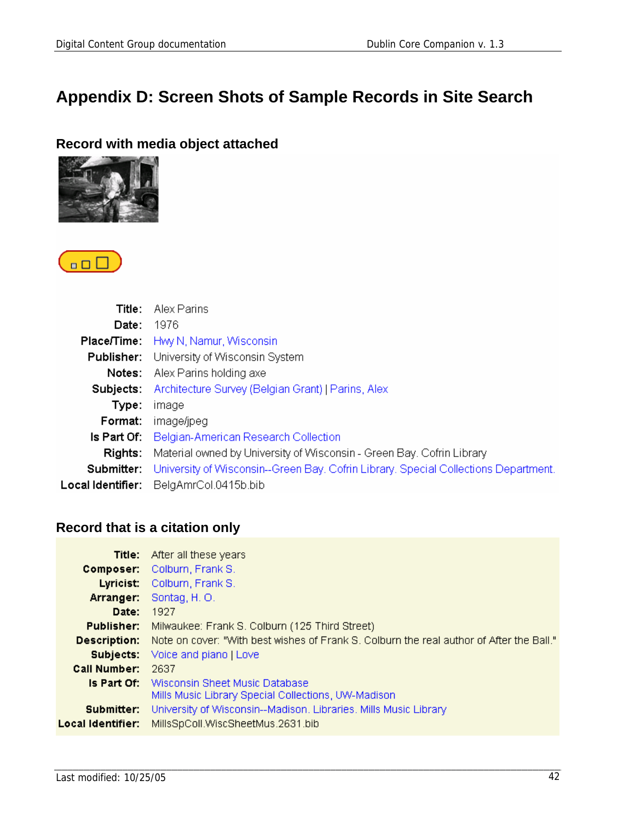## **Appendix D: Screen Shots of Sample Records in Site Search**

### **Record with media object attached**





| Title:            | Alex Parins                                                                         |
|-------------------|-------------------------------------------------------------------------------------|
| Date:             | - 1976                                                                              |
|                   | <b>Place/Time:</b> Hwy N, Namur, Wisconsin                                          |
| Publisher:        | University of Wisconsin System                                                      |
|                   | <b>Notes:</b> Alex Parins holding axe                                               |
| Subiects:         | Architecture Survey (Belgian Grant)   Parins, Alex                                  |
| Type:             | image                                                                               |
| Format:           | image/jpeg                                                                          |
|                   | <b>Is Part Of:</b> Belgian-American Research Collection                             |
| Rights:           | Material owned by University of Wisconsin - Green Bay, Cofrin Library               |
| Submitter:        | University of Wisconsin--Green Bay, Cofrin Library, Special Collections Department. |
| Local Identifier: | BelgAmrCol.0415b.bib                                                                |

### **Record that is a citation only**

|                                 | <b>Title:</b> After all these years                                                                       |
|---------------------------------|-----------------------------------------------------------------------------------------------------------|
|                                 | <b>Composer:</b> Colburn, Frank S.                                                                        |
|                                 | Lyricist: Colburn, Frank S.                                                                               |
| Arranger:                       | Sontag, H.O.                                                                                              |
| Date:                           | 1927                                                                                                      |
| Publisher:                      | Milwaukee: Frank S. Colburn (125 Third Street)                                                            |
| Description:                    | Note on cover: "With best wishes of Frank S. Colburn the real author of After the Ball."                  |
|                                 | <b>Subjects:</b> Voice and piano   Love                                                                   |
| <b>Call Number:</b>             | 2637                                                                                                      |
|                                 | <b>Is Part Of:</b> Wisconsin Sheet Music Database<br>Mills Music Library Special Collections, UW-Madison. |
| Submitter:<br>Local Identifier: | University of Wisconsin--Madison, Libraries, Mills Music Library<br>MillsSpColl.WiscSheetMus.2631.bib     |